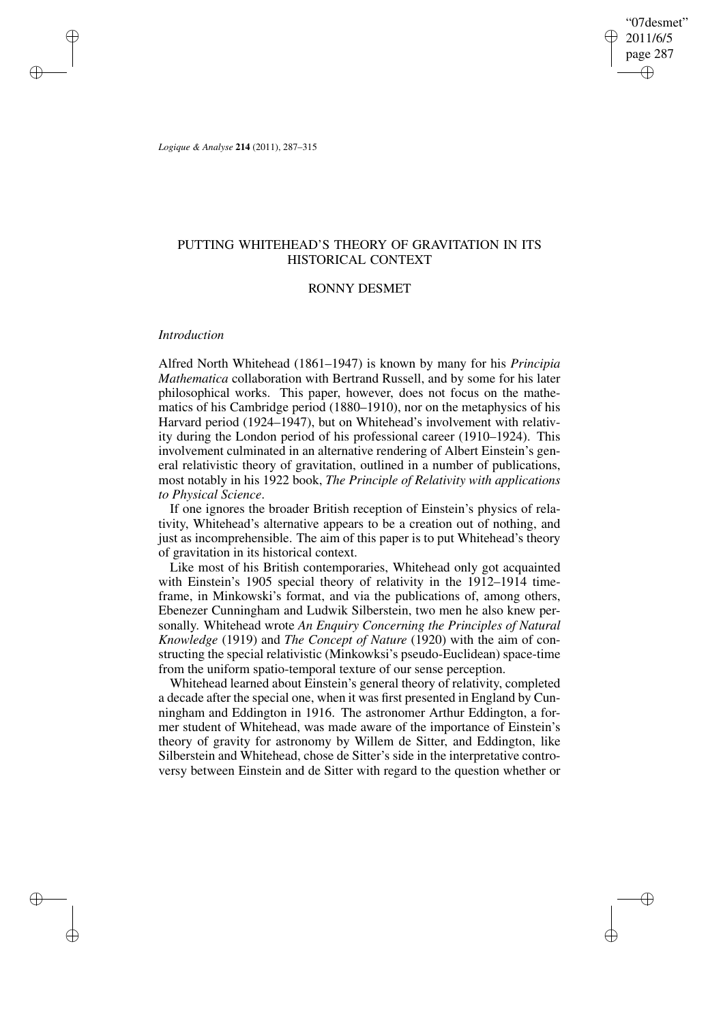"07desmet" 2011/6/5 page 287 ✐ ✐

✐

✐

*Logique & Analyse* **214** (2011), 287–315

# PUTTING WHITEHEAD'S THEORY OF GRAVITATION IN ITS HISTORICAL CONTEXT

## RONNY DESMET

## *Introduction*

✐

✐

✐

✐

Alfred North Whitehead (1861–1947) is known by many for his *Principia Mathematica* collaboration with Bertrand Russell, and by some for his later philosophical works. This paper, however, does not focus on the mathematics of his Cambridge period (1880–1910), nor on the metaphysics of his Harvard period (1924–1947), but on Whitehead's involvement with relativity during the London period of his professional career (1910–1924). This involvement culminated in an alternative rendering of Albert Einstein's general relativistic theory of gravitation, outlined in a number of publications, most notably in his 1922 book, *The Principle of Relativity with applications to Physical Science*.

If one ignores the broader British reception of Einstein's physics of relativity, Whitehead's alternative appears to be a creation out of nothing, and just as incomprehensible. The aim of this paper is to put Whitehead's theory of gravitation in its historical context.

Like most of his British contemporaries, Whitehead only got acquainted with Einstein's 1905 special theory of relativity in the 1912–1914 timeframe, in Minkowski's format, and via the publications of, among others, Ebenezer Cunningham and Ludwik Silberstein, two men he also knew personally. Whitehead wrote *An Enquiry Concerning the Principles of Natural Knowledge* (1919) and *The Concept of Nature* (1920) with the aim of constructing the special relativistic (Minkowksi's pseudo-Euclidean) space-time from the uniform spatio-temporal texture of our sense perception.

Whitehead learned about Einstein's general theory of relativity, completed a decade after the special one, when it was first presented in England by Cunningham and Eddington in 1916. The astronomer Arthur Eddington, a former student of Whitehead, was made aware of the importance of Einstein's theory of gravity for astronomy by Willem de Sitter, and Eddington, like Silberstein and Whitehead, chose de Sitter's side in the interpretative controversy between Einstein and de Sitter with regard to the question whether or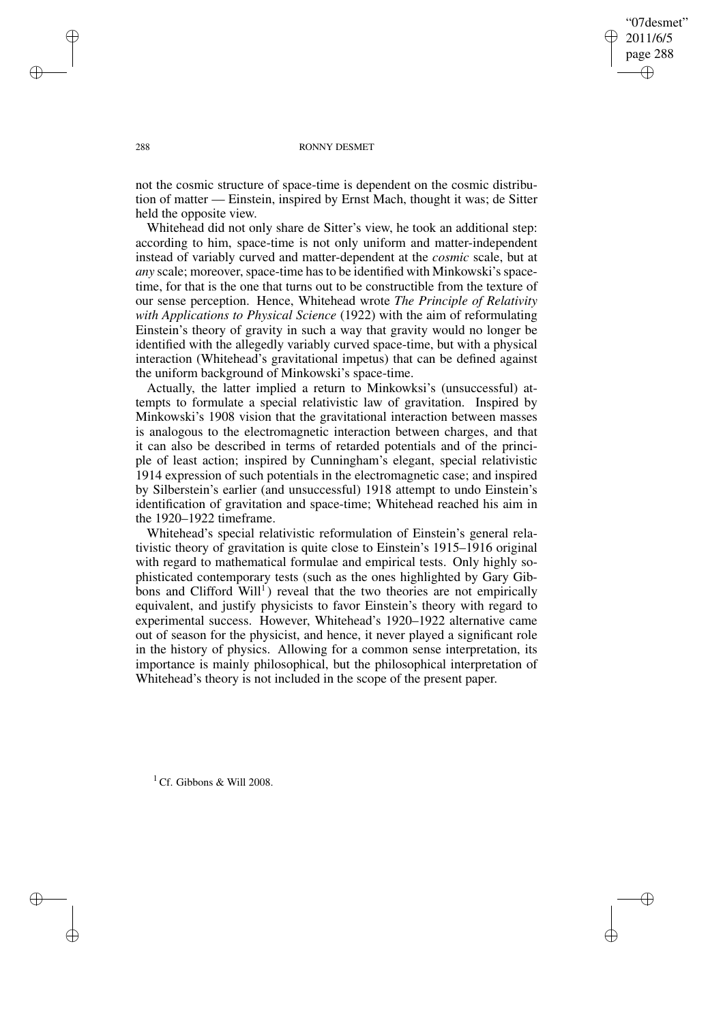"07desmet" 2011/6/5 page 288 ✐ ✐

✐

✐

#### 288 RONNY DESMET

not the cosmic structure of space-time is dependent on the cosmic distribution of matter — Einstein, inspired by Ernst Mach, thought it was; de Sitter held the opposite view.

Whitehead did not only share de Sitter's view, he took an additional step: according to him, space-time is not only uniform and matter-independent instead of variably curved and matter-dependent at the *cosmic* scale, but at *any* scale; moreover, space-time has to be identified with Minkowski's spacetime, for that is the one that turns out to be constructible from the texture of our sense perception. Hence, Whitehead wrote *The Principle of Relativity with Applications to Physical Science* (1922) with the aim of reformulating Einstein's theory of gravity in such a way that gravity would no longer be identified with the allegedly variably curved space-time, but with a physical interaction (Whitehead's gravitational impetus) that can be defined against the uniform background of Minkowski's space-time.

Actually, the latter implied a return to Minkowksi's (unsuccessful) attempts to formulate a special relativistic law of gravitation. Inspired by Minkowski's 1908 vision that the gravitational interaction between masses is analogous to the electromagnetic interaction between charges, and that it can also be described in terms of retarded potentials and of the principle of least action; inspired by Cunningham's elegant, special relativistic 1914 expression of such potentials in the electromagnetic case; and inspired by Silberstein's earlier (and unsuccessful) 1918 attempt to undo Einstein's identification of gravitation and space-time; Whitehead reached his aim in the 1920–1922 timeframe.

Whitehead's special relativistic reformulation of Einstein's general relativistic theory of gravitation is quite close to Einstein's 1915–1916 original with regard to mathematical formulae and empirical tests. Only highly sophisticated contemporary tests (such as the ones highlighted by Gary Gibbons and Clifford Will<sup>1</sup>) reveal that the two theories are not empirically equivalent, and justify physicists to favor Einstein's theory with regard to experimental success. However, Whitehead's 1920–1922 alternative came out of season for the physicist, and hence, it never played a significant role in the history of physics. Allowing for a common sense interpretation, its importance is mainly philosophical, but the philosophical interpretation of Whitehead's theory is not included in the scope of the present paper.

 $^{1}$  Cf. Gibbons & Will 2008.

✐

✐

✐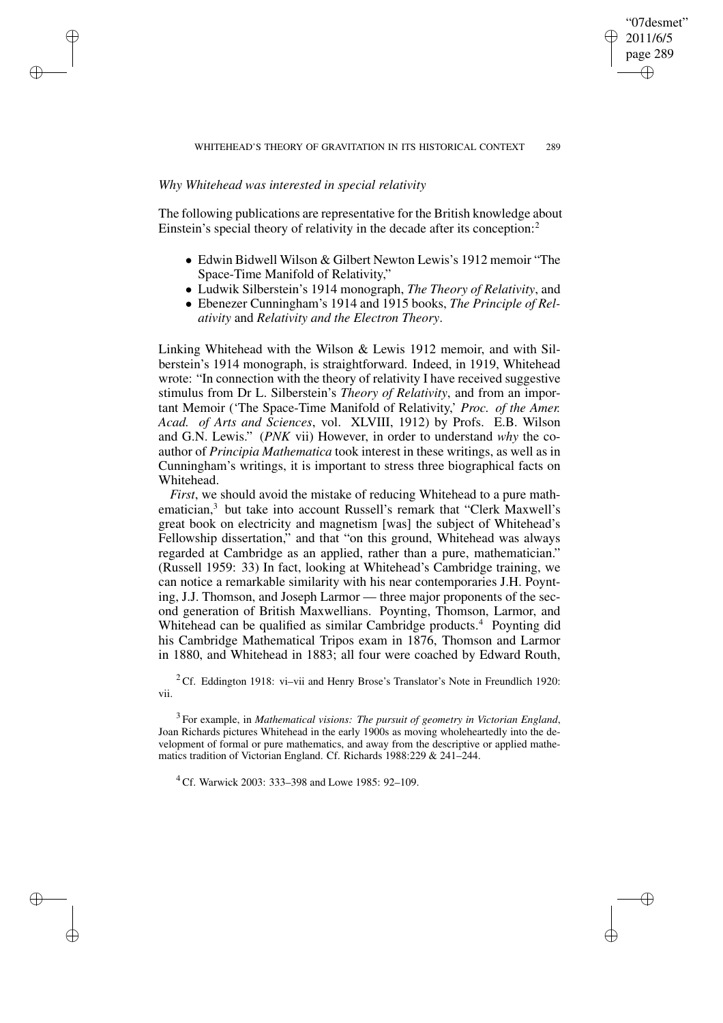### *Why Whitehead was interested in special relativity*

✐

✐

✐

✐

The following publications are representative for the British knowledge about Einstein's special theory of relativity in the decade after its conception:<sup>2</sup>

- Edwin Bidwell Wilson & Gilbert Newton Lewis's 1912 memoir "The Space-Time Manifold of Relativity,"
- Ludwik Silberstein's 1914 monograph, *The Theory of Relativity*, and
- Ebenezer Cunningham's 1914 and 1915 books, *The Principle of Relativity* and *Relativity and the Electron Theory*.

Linking Whitehead with the Wilson & Lewis 1912 memoir, and with Silberstein's 1914 monograph, is straightforward. Indeed, in 1919, Whitehead wrote: "In connection with the theory of relativity I have received suggestive stimulus from Dr L. Silberstein's *Theory of Relativity*, and from an important Memoir ('The Space-Time Manifold of Relativity,' *Proc. of the Amer. Acad. of Arts and Sciences*, vol. XLVIII, 1912) by Profs. E.B. Wilson and G.N. Lewis." (*PNK* vii) However, in order to understand *why* the coauthor of *Principia Mathematica* took interest in these writings, as well as in Cunningham's writings, it is important to stress three biographical facts on Whitehead.

*First*, we should avoid the mistake of reducing Whitehead to a pure mathematician,<sup>3</sup> but take into account Russell's remark that "Clerk Maxwell's great book on electricity and magnetism [was] the subject of Whitehead's Fellowship dissertation," and that "on this ground, Whitehead was always regarded at Cambridge as an applied, rather than a pure, mathematician." (Russell 1959: 33) In fact, looking at Whitehead's Cambridge training, we can notice a remarkable similarity with his near contemporaries J.H. Poynting, J.J. Thomson, and Joseph Larmor — three major proponents of the second generation of British Maxwellians. Poynting, Thomson, Larmor, and Whitehead can be qualified as similar Cambridge products.<sup>4</sup> Poynting did his Cambridge Mathematical Tripos exam in 1876, Thomson and Larmor in 1880, and Whitehead in 1883; all four were coached by Edward Routh,

<sup>2</sup> Cf. Eddington 1918: vi–vii and Henry Brose's Translator's Note in Freundlich 1920: vii.

3 For example, in *Mathematical visions: The pursuit of geometry in Victorian England*, Joan Richards pictures Whitehead in the early 1900s as moving wholeheartedly into the development of formal or pure mathematics, and away from the descriptive or applied mathematics tradition of Victorian England. Cf. Richards 1988:229 & 241–244.

<sup>4</sup> Cf. Warwick 2003: 333–398 and Lowe 1985: 92–109.

"07desmet" 2011/6/5 page 289

✐

✐

✐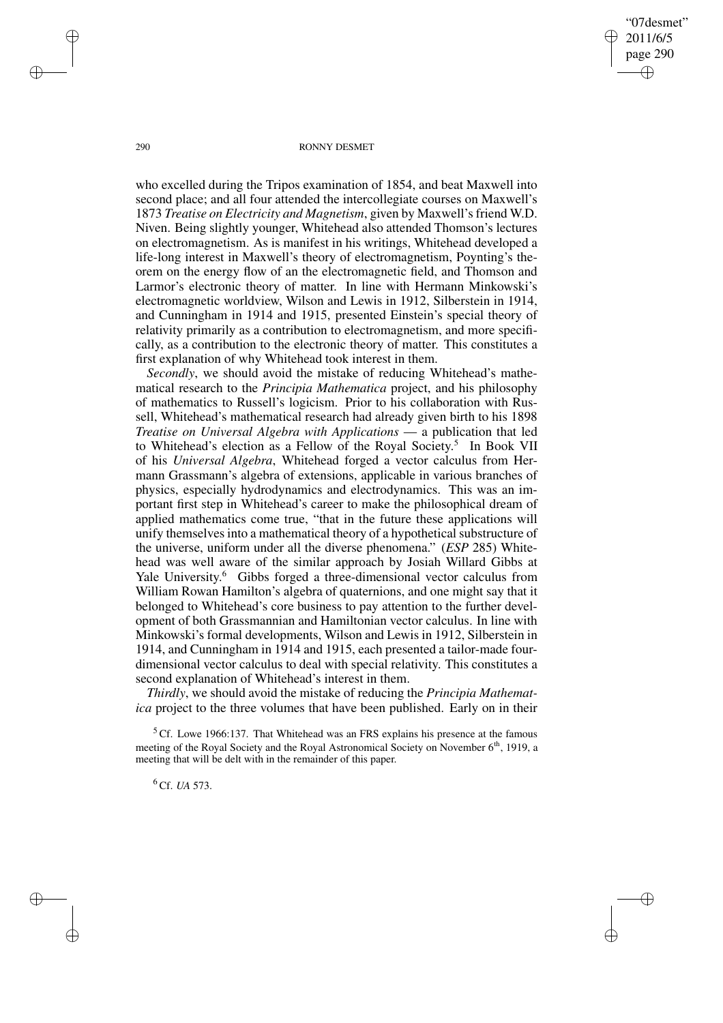"07desmet" 2011/6/5 page 290 ✐ ✐

✐

✐

#### 290 RONNY DESMET

who excelled during the Tripos examination of 1854, and beat Maxwell into second place; and all four attended the intercollegiate courses on Maxwell's 1873 *Treatise on Electricity and Magnetism*, given by Maxwell'sfriend W.D. Niven. Being slightly younger, Whitehead also attended Thomson's lectures on electromagnetism. As is manifest in his writings, Whitehead developed a life-long interest in Maxwell's theory of electromagnetism, Poynting's theorem on the energy flow of an the electromagnetic field, and Thomson and Larmor's electronic theory of matter. In line with Hermann Minkowski's electromagnetic worldview, Wilson and Lewis in 1912, Silberstein in 1914, and Cunningham in 1914 and 1915, presented Einstein's special theory of relativity primarily as a contribution to electromagnetism, and more specifically, as a contribution to the electronic theory of matter. This constitutes a first explanation of why Whitehead took interest in them.

*Secondly*, we should avoid the mistake of reducing Whitehead's mathematical research to the *Principia Mathematica* project, and his philosophy of mathematics to Russell's logicism. Prior to his collaboration with Russell, Whitehead's mathematical research had already given birth to his 1898 *Treatise on Universal Algebra with Applications* — a publication that led to Whitehead's election as a Fellow of the Royal Society.<sup>5</sup> In Book VII of his *Universal Algebra*, Whitehead forged a vector calculus from Hermann Grassmann's algebra of extensions, applicable in various branches of physics, especially hydrodynamics and electrodynamics. This was an important first step in Whitehead's career to make the philosophical dream of applied mathematics come true, "that in the future these applications will unify themselves into a mathematical theory of a hypothetical substructure of the universe, uniform under all the diverse phenomena." (*ESP* 285) Whitehead was well aware of the similar approach by Josiah Willard Gibbs at Yale University. <sup>6</sup> Gibbs forged a three-dimensional vector calculus from William Rowan Hamilton's algebra of quaternions, and one might say that it belonged to Whitehead's core business to pay attention to the further development of both Grassmannian and Hamiltonian vector calculus. In line with Minkowski's formal developments, Wilson and Lewis in 1912, Silberstein in 1914, and Cunningham in 1914 and 1915, each presented a tailor-made fourdimensional vector calculus to deal with special relativity. This constitutes a second explanation of Whitehead's interest in them.

*Thirdly*, we should avoid the mistake of reducing the *Principia Mathematica* project to the three volumes that have been published. Early on in their

 $5$  Cf. Lowe 1966:137. That Whitehead was an FRS explains his presence at the famous meeting of the Royal Society and the Royal Astronomical Society on November 6<sup>th</sup>, 1919, a meeting that will be delt with in the remainder of this paper.

<sup>6</sup> Cf. *UA* 573.

✐

✐

✐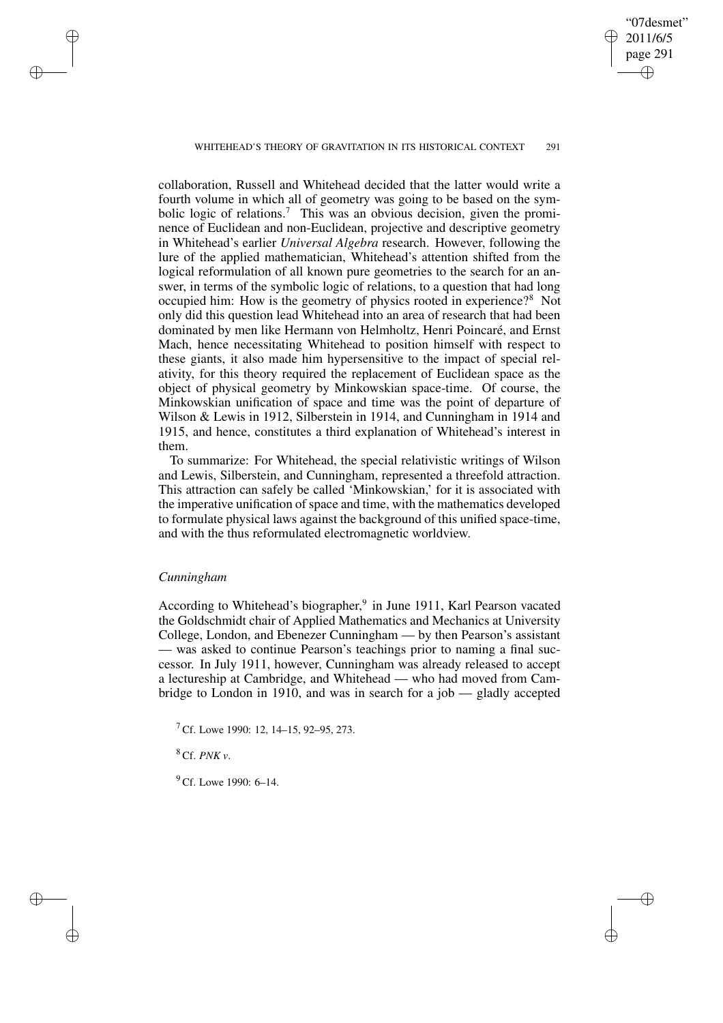#### WHITEHEAD'S THEORY OF GRAVITATION IN ITS HISTORICAL CONTEXT 291

"07desmet" 2011/6/5 page 291

✐

✐

✐

✐

collaboration, Russell and Whitehead decided that the latter would write a fourth volume in which all of geometry was going to be based on the symbolic logic of relations.<sup>7</sup> This was an obvious decision, given the prominence of Euclidean and non-Euclidean, projective and descriptive geometry in Whitehead's earlier *Universal Algebra* research. However, following the lure of the applied mathematician, Whitehead's attention shifted from the logical reformulation of all known pure geometries to the search for an answer, in terms of the symbolic logic of relations, to a question that had long occupied him: How is the geometry of physics rooted in experience?<sup>8</sup> Not only did this question lead Whitehead into an area of research that had been dominated by men like Hermann von Helmholtz, Henri Poincaré, and Ernst Mach, hence necessitating Whitehead to position himself with respect to these giants, it also made him hypersensitive to the impact of special relativity, for this theory required the replacement of Euclidean space as the object of physical geometry by Minkowskian space-time. Of course, the Minkowskian unification of space and time was the point of departure of Wilson & Lewis in 1912, Silberstein in 1914, and Cunningham in 1914 and 1915, and hence, constitutes a third explanation of Whitehead's interest in them.

To summarize: For Whitehead, the special relativistic writings of Wilson and Lewis, Silberstein, and Cunningham, represented a threefold attraction. This attraction can safely be called 'Minkowskian,' for it is associated with the imperative unification of space and time, with the mathematics developed to formulate physical laws against the background of this unified space-time, and with the thus reformulated electromagnetic worldview.

## *Cunningham*

✐

✐

✐

✐

According to Whitehead's biographer, 9 in June 1911, Karl Pearson vacated the Goldschmidt chair of Applied Mathematics and Mechanics at University College, London, and Ebenezer Cunningham — by then Pearson's assistant was asked to continue Pearson's teachings prior to naming a final successor. In July 1911, however, Cunningham was already released to accept a lectureship at Cambridge, and Whitehead — who had moved from Cambridge to London in 1910, and was in search for a job — gladly accepted

<sup>7</sup> Cf. Lowe 1990: 12, 14–15, 92–95, 273.

<sup>8</sup> Cf. *PNK v*.

<sup>9</sup> Cf. Lowe 1990: 6-14.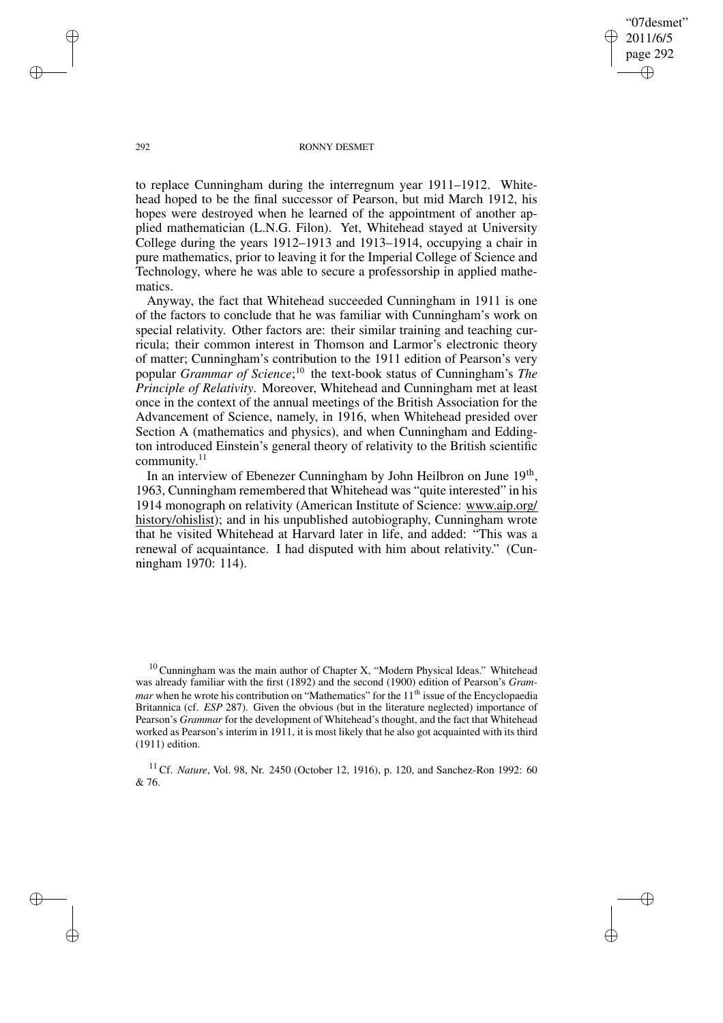"07desmet" 2011/6/5 page 292 ✐ ✐

✐

✐

#### 292 RONNY DESMET

to replace Cunningham during the interregnum year 1911–1912. Whitehead hoped to be the final successor of Pearson, but mid March 1912, his hopes were destroyed when he learned of the appointment of another applied mathematician (L.N.G. Filon). Yet, Whitehead stayed at University College during the years 1912–1913 and 1913–1914, occupying a chair in pure mathematics, prior to leaving it for the Imperial College of Science and Technology, where he was able to secure a professorship in applied mathematics.

Anyway, the fact that Whitehead succeeded Cunningham in 1911 is one of the factors to conclude that he was familiar with Cunningham's work on special relativity. Other factors are: their similar training and teaching curricula; their common interest in Thomson and Larmor's electronic theory of matter; Cunningham's contribution to the 1911 edition of Pearson's very popular *Grammar of Science*; <sup>10</sup> the text-book status of Cunningham's *The Principle of Relativity*. Moreover, Whitehead and Cunningham met at least once in the context of the annual meetings of the British Association for the Advancement of Science, namely, in 1916, when Whitehead presided over Section A (mathematics and physics), and when Cunningham and Eddington introduced Einstein's general theory of relativity to the British scientific community. 11

In an interview of Ebenezer Cunningham by John Heilbron on June 19<sup>th</sup>, 1963, Cunningham remembered that Whitehead was "quite interested" in his 1914 monograph on relativity (American Institute of Science: www.aip.org/ history/ohislist); and in his unpublished autobiography, Cunningham wrote that he visited Whitehead at Harvard later in life, and added: "This was a renewal of acquaintance. I had disputed with him about relativity." (Cunningham 1970: 114).

<sup>11</sup> Cf. *Nature*, Vol. 98, Nr. 2450 (October 12, 1916), p. 120, and Sanchez-Ron 1992: 60 & 76.

✐

✐

✐

 $10$  Cunningham was the main author of Chapter X, "Modern Physical Ideas." Whitehead was already familiar with the first (1892) and the second (1900) edition of Pearson's *Grammar* when he wrote his contribution on "Mathematics" for the  $11<sup>th</sup>$  issue of the Encyclopaedia Britannica (cf. *ESP* 287). Given the obvious (but in the literature neglected) importance of Pearson's *Grammar* for the development of Whitehead's thought, and the fact that Whitehead worked as Pearson's interim in 1911, it is most likely that he also got acquainted with its third (1911) edition.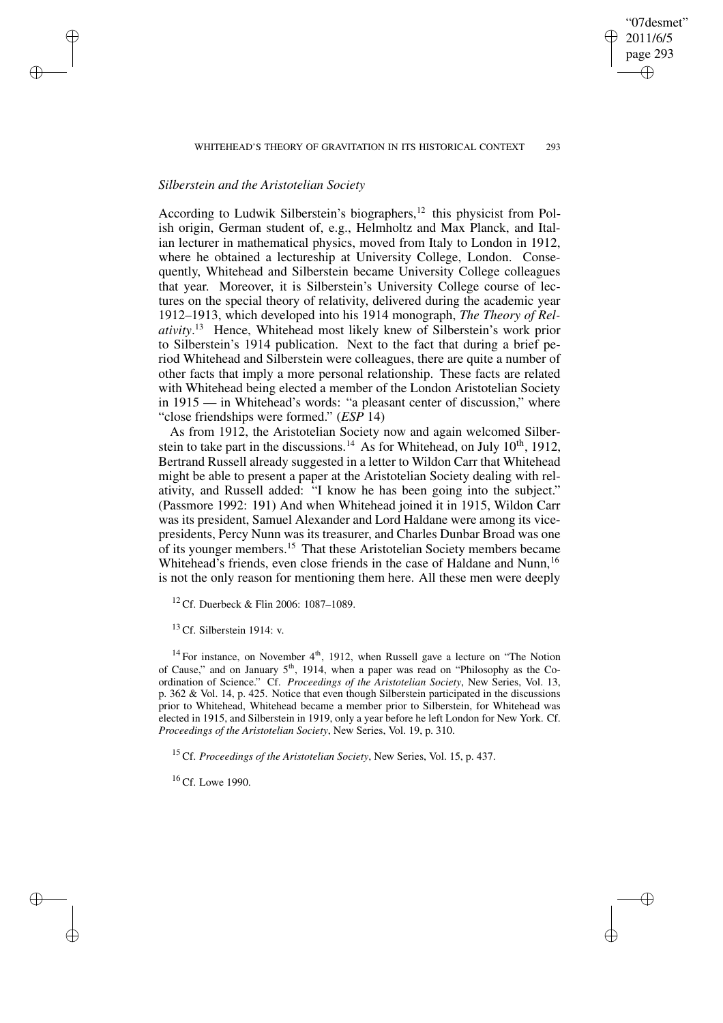## *Silberstein and the Aristotelian Society*

✐

✐

✐

✐

According to Ludwik Silberstein's biographers,<sup>12</sup> this physicist from Polish origin, German student of, e.g., Helmholtz and Max Planck, and Italian lecturer in mathematical physics, moved from Italy to London in 1912, where he obtained a lectureship at University College, London. Consequently, Whitehead and Silberstein became University College colleagues that year. Moreover, it is Silberstein's University College course of lectures on the special theory of relativity, delivered during the academic year 1912–1913, which developed into his 1914 monograph, *The Theory of Relativity*. <sup>13</sup> Hence, Whitehead most likely knew of Silberstein's work prior to Silberstein's 1914 publication. Next to the fact that during a brief period Whitehead and Silberstein were colleagues, there are quite a number of other facts that imply a more personal relationship. These facts are related with Whitehead being elected a member of the London Aristotelian Society in 1915 — in Whitehead's words: "a pleasant center of discussion," where "close friendships were formed." (*ESP* 14)

As from 1912, the Aristotelian Society now and again welcomed Silberstein to take part in the discussions.<sup>14</sup> As for Whitehead, on July  $10^{th}$ , 1912, Bertrand Russell already suggested in a letter to Wildon Carr that Whitehead might be able to present a paper at the Aristotelian Society dealing with relativity, and Russell added: "I know he has been going into the subject." (Passmore 1992: 191) And when Whitehead joined it in 1915, Wildon Carr was its president, Samuel Alexander and Lord Haldane were among its vicepresidents, Percy Nunn was its treasurer, and Charles Dunbar Broad was one of its younger members.<sup>15</sup> That these Aristotelian Society members became Whitehead's friends, even close friends in the case of Haldane and Nunn,<sup>16</sup> is not the only reason for mentioning them here. All these men were deeply

<sup>12</sup> Cf. Duerbeck & Flin 2006: 1087–1089.

<sup>13</sup> Cf. Silberstein 1914: v.

 $14$  For instance, on November 4<sup>th</sup>, 1912, when Russell gave a lecture on "The Notion of Cause," and on January 5<sup>th</sup>, 1914, when a paper was read on "Philosophy as the Coordination of Science." Cf. *Proceedings of the Aristotelian Society*, New Series, Vol. 13, p. 362 & Vol. 14, p. 425. Notice that even though Silberstein participated in the discussions prior to Whitehead, Whitehead became a member prior to Silberstein, for Whitehead was elected in 1915, and Silberstein in 1919, only a year before he left London for New York. Cf. *Proceedings of the Aristotelian Society*, New Series, Vol. 19, p. 310.

<sup>15</sup> Cf. *Proceedings of the Aristotelian Society*, New Series, Vol. 15, p. 437.

<sup>16</sup> Cf. Lowe 1990.

"07desmet" 2011/6/5 page 293 ✐ ✐

✐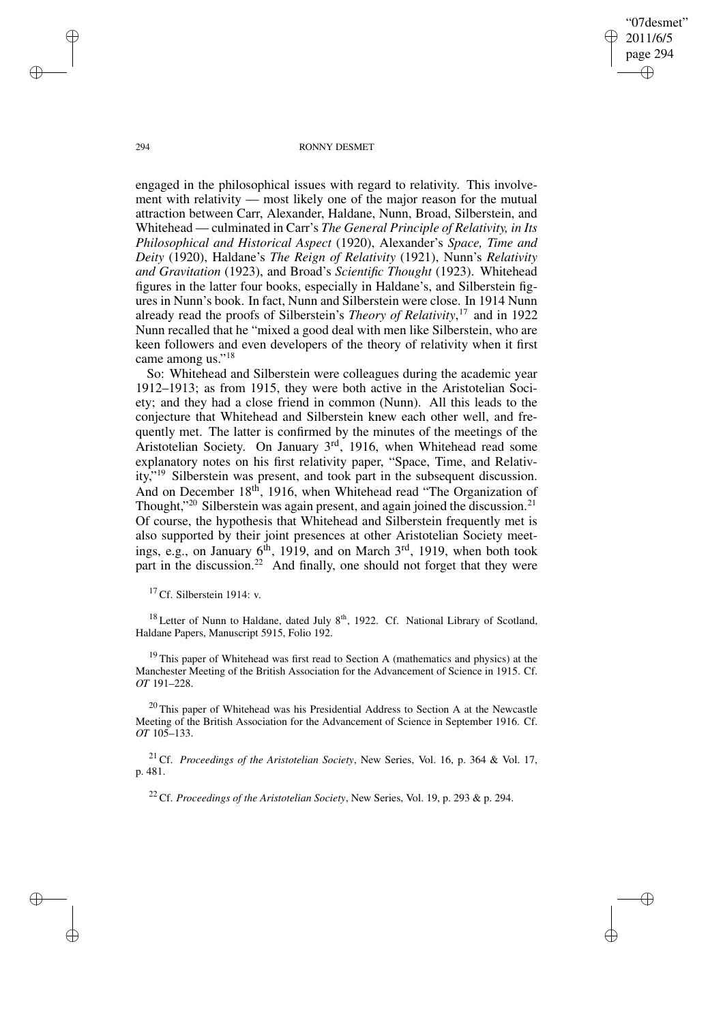"07desmet" 2011/6/5 page 294 ✐ ✐

✐

✐

#### 294 RONNY DESMET

engaged in the philosophical issues with regard to relativity. This involvement with relativity — most likely one of the major reason for the mutual attraction between Carr, Alexander, Haldane, Nunn, Broad, Silberstein, and Whitehead — culminated in Carr's *The General Principle of Relativity, in Its Philosophical and Historical Aspect* (1920), Alexander's *Space, Time and Deity* (1920), Haldane's *The Reign of Relativity* (1921), Nunn's *Relativity and Gravitation* (1923), and Broad's *Scientific Thought* (1923). Whitehead figures in the latter four books, especially in Haldane's, and Silberstein figures in Nunn's book. In fact, Nunn and Silberstein were close. In 1914 Nunn already read the proofs of Silberstein's *Theory of Relativity*, <sup>17</sup> and in 1922 Nunn recalled that he "mixed a good deal with men like Silberstein, who are keen followers and even developers of the theory of relativity when it first came among us."<sup>18</sup>

So: Whitehead and Silberstein were colleagues during the academic year 1912–1913; as from 1915, they were both active in the Aristotelian Society; and they had a close friend in common (Nunn). All this leads to the conjecture that Whitehead and Silberstein knew each other well, and frequently met. The latter is confirmed by the minutes of the meetings of the Aristotelian Society. On January 3<sup>rd</sup>, 1916, when Whitehead read some explanatory notes on his first relativity paper, "Space, Time, and Relativity," <sup>19</sup> Silberstein was present, and took part in the subsequent discussion. And on December 18<sup>th</sup>, 1916, when Whitehead read "The Organization of Thought,"<sup>20</sup> Silberstein was again present, and again joined the discussion.<sup>21</sup> Of course, the hypothesis that Whitehead and Silberstein frequently met is also supported by their joint presences at other Aristotelian Society meetings, e.g., on January 6<sup>th</sup>, 1919, and on March 3<sup>rd</sup>, 1919, when both took part in the discussion.<sup>22</sup> And finally, one should not forget that they were

<sup>17</sup> Cf. Silberstein 1914: v.

 $^{18}$  Letter of Nunn to Haldane, dated July  $8<sup>th</sup>$ , 1922. Cf. National Library of Scotland, Haldane Papers, Manuscript 5915, Folio 192.

 $19$  This paper of Whitehead was first read to Section A (mathematics and physics) at the Manchester Meeting of the British Association for the Advancement of Science in 1915. Cf. *OT* 191–228.

<sup>20</sup> This paper of Whitehead was his Presidential Address to Section A at the Newcastle Meeting of the British Association for the Advancement of Science in September 1916. Cf. *OT* 105–133.

<sup>21</sup> Cf. *Proceedings of the Aristotelian Society*, New Series, Vol. 16, p. 364 & Vol. 17, p. 481.

<sup>22</sup> Cf. *Proceedings of the Aristotelian Society*, New Series, Vol. 19, p. 293 & p. 294.

✐

✐

✐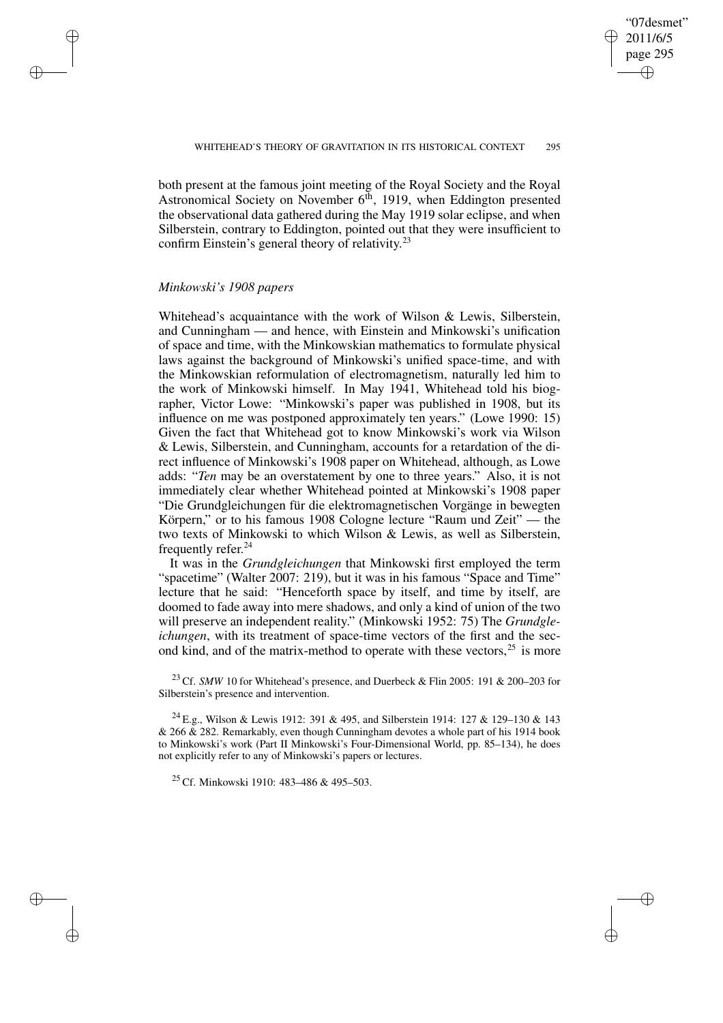"07desmet" 2011/6/5 page 295

✐

✐

✐

✐

both present at the famous joint meeting of the Royal Society and the Royal Astronomical Society on November  $6<sup>th</sup>$ , 1919, when Eddington presented the observational data gathered during the May 1919 solar eclipse, and when Silberstein, contrary to Eddington, pointed out that they were insufficient to confirm Einstein's general theory of relativity.<sup>23</sup>

## *Minkowski's 1908 papers*

✐

✐

✐

✐

Whitehead's acquaintance with the work of Wilson & Lewis, Silberstein, and Cunningham — and hence, with Einstein and Minkowski's unification of space and time, with the Minkowskian mathematics to formulate physical laws against the background of Minkowski's unified space-time, and with the Minkowskian reformulation of electromagnetism, naturally led him to the work of Minkowski himself. In May 1941, Whitehead told his biographer, Victor Lowe: "Minkowski's paper was published in 1908, but its influence on me was postponed approximately ten years." (Lowe 1990: 15) Given the fact that Whitehead got to know Minkowski's work via Wilson & Lewis, Silberstein, and Cunningham, accounts for a retardation of the direct influence of Minkowski's 1908 paper on Whitehead, although, as Lowe adds: "*Ten* may be an overstatement by one to three years." Also, it is not immediately clear whether Whitehead pointed at Minkowski's 1908 paper "Die Grundgleichungen für die elektromagnetischen Vorgänge in bewegten Körpern," or to his famous 1908 Cologne lecture "Raum und Zeit" — the two texts of Minkowski to which Wilson & Lewis, as well as Silberstein, frequently refer. 24

It was in the *Grundgleichungen* that Minkowski first employed the term "spacetime" (Walter 2007: 219), but it was in his famous "Space and Time" lecture that he said: "Henceforth space by itself, and time by itself, are doomed to fade away into mere shadows, and only a kind of union of the two will preserve an independent reality." (Minkowski 1952: 75) The *Grundgleichungen*, with its treatment of space-time vectors of the first and the second kind, and of the matrix-method to operate with these vectors,  $2<sup>5</sup>$  is more

<sup>23</sup> Cf. *SMW* 10 for Whitehead's presence, and Duerbeck & Flin 2005: 191 & 200–203 for Silberstein's presence and intervention.

<sup>24</sup> E.g., Wilson & Lewis 1912: 391 & 495, and Silberstein 1914: 127 & 129–130 & 143 & 266 & 282. Remarkably, even though Cunningham devotes a whole part of his 1914 book to Minkowski's work (Part II Minkowski's Four-Dimensional World, pp. 85–134), he does not explicitly refer to any of Minkowski's papers or lectures.

<sup>25</sup> Cf. Minkowski 1910: 483–486 & 495–503.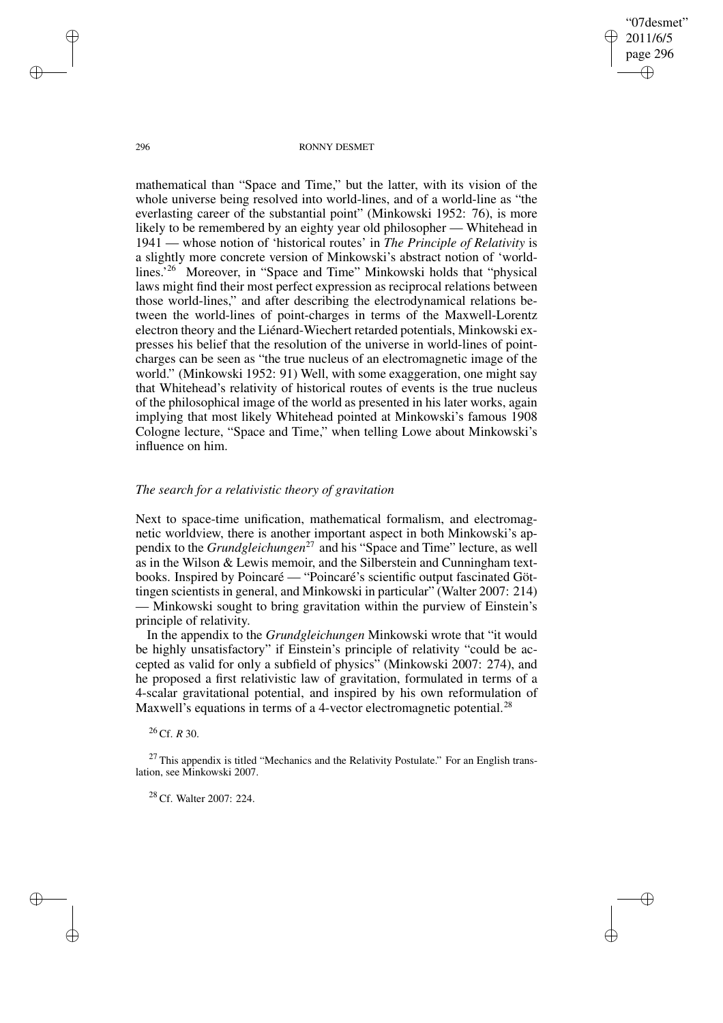296 RONNY DESMET

"07desmet" 2011/6/5 page 296

✐

✐

✐

✐

mathematical than "Space and Time," but the latter, with its vision of the whole universe being resolved into world-lines, and of a world-line as "the everlasting career of the substantial point" (Minkowski 1952: 76), is more likely to be remembered by an eighty year old philosopher — Whitehead in 1941 — whose notion of 'historical routes' in *The Principle of Relativity* is a slightly more concrete version of Minkowski's abstract notion of 'worldlines.' <sup>26</sup> Moreover, in "Space and Time" Minkowski holds that "physical laws might find their most perfect expression as reciprocal relations between those world-lines," and after describing the electrodynamical relations between the world-lines of point-charges in terms of the Maxwell-Lorentz electron theory and the Liénard-Wiechert retarded potentials, Minkowski expresses his belief that the resolution of the universe in world-lines of pointcharges can be seen as "the true nucleus of an electromagnetic image of the world." (Minkowski 1952: 91) Well, with some exaggeration, one might say that Whitehead's relativity of historical routes of events is the true nucleus of the philosophical image of the world as presented in his later works, again implying that most likely Whitehead pointed at Minkowski's famous 1908 Cologne lecture, "Space and Time," when telling Lowe about Minkowski's influence on him.

### *The search for a relativistic theory of gravitation*

Next to space-time unification, mathematical formalism, and electromagnetic worldview, there is another important aspect in both Minkowski's appendix to the *Grundgleichungen*<sup>27</sup> and his "Space and Time" lecture, as well as in the Wilson & Lewis memoir, and the Silberstein and Cunningham textbooks. Inspired by Poincaré — "Poincaré's scientific output fascinated Göttingen scientists in general, and Minkowski in particular" (Walter 2007: 214) — Minkowski sought to bring gravitation within the purview of Einstein's principle of relativity.

In the appendix to the *Grundgleichungen* Minkowski wrote that "it would be highly unsatisfactory" if Einstein's principle of relativity "could be accepted as valid for only a subfield of physics" (Minkowski 2007: 274), and he proposed a first relativistic law of gravitation, formulated in terms of a 4-scalar gravitational potential, and inspired by his own reformulation of Maxwell's equations in terms of a 4-vector electromagnetic potential.<sup>28</sup>

<sup>26</sup> Cf. *R* 30.

✐

✐

 $27$  This appendix is titled "Mechanics and the Relativity Postulate." For an English translation, see Minkowski 2007.

<sup>28</sup> Cf. Walter 2007: 224.

✐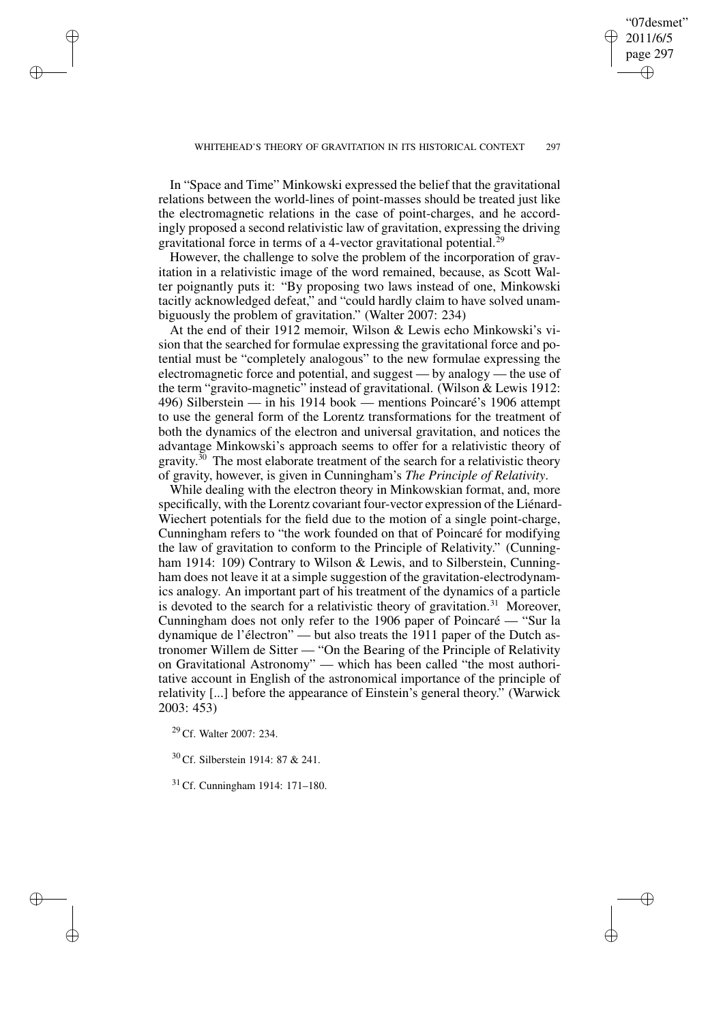#### WHITEHEAD'S THEORY OF GRAVITATION IN ITS HISTORICAL CONTEXT 297

"07desmet" 2011/6/5 page 297

✐

✐

✐

✐

In "Space and Time" Minkowski expressed the belief that the gravitational relations between the world-lines of point-masses should be treated just like the electromagnetic relations in the case of point-charges, and he accordingly proposed a second relativistic law of gravitation, expressing the driving gravitational force in terms of a 4-vector gravitational potential.<sup>29</sup>

However, the challenge to solve the problem of the incorporation of gravitation in a relativistic image of the word remained, because, as Scott Walter poignantly puts it: "By proposing two laws instead of one, Minkowski tacitly acknowledged defeat," and "could hardly claim to have solved unambiguously the problem of gravitation." (Walter 2007: 234)

At the end of their 1912 memoir, Wilson & Lewis echo Minkowski's vision that the searched for formulae expressing the gravitational force and potential must be "completely analogous" to the new formulae expressing the electromagnetic force and potential, and suggest — by analogy — the use of the term "gravito-magnetic" instead of gravitational. (Wilson & Lewis 1912: 496) Silberstein — in his 1914 book — mentions Poincaré's 1906 attempt to use the general form of the Lorentz transformations for the treatment of both the dynamics of the electron and universal gravitation, and notices the advantage Minkowski's approach seems to offer for a relativistic theory of gravity.<sup>30</sup> The most elaborate treatment of the search for a relativistic theory of gravity, however, is given in Cunningham's *The Principle of Relativity*.

While dealing with the electron theory in Minkowskian format, and, more specifically, with the Lorentz covariant four-vector expression of the Liénard-Wiechert potentials for the field due to the motion of a single point-charge, Cunningham refers to "the work founded on that of Poincaré for modifying the law of gravitation to conform to the Principle of Relativity." (Cunningham 1914: 109) Contrary to Wilson & Lewis, and to Silberstein, Cunningham does not leave it at a simple suggestion of the gravitation-electrodynamics analogy. An important part of his treatment of the dynamics of a particle is devoted to the search for a relativistic theory of gravitation.<sup>31</sup> Moreover, Cunningham does not only refer to the 1906 paper of Poincaré — "Sur la dynamique de l'électron" — but also treats the 1911 paper of the Dutch astronomer Willem de Sitter — "On the Bearing of the Principle of Relativity on Gravitational Astronomy" — which has been called "the most authoritative account in English of the astronomical importance of the principle of relativity [...] before the appearance of Einstein's general theory." (Warwick 2003: 453)

<sup>29</sup> Cf. Walter 2007: 234.

✐

✐

✐

✐

<sup>30</sup> Cf. Silberstein 1914: 87 & 241.

<sup>31</sup> Cf. Cunningham 1914: 171–180.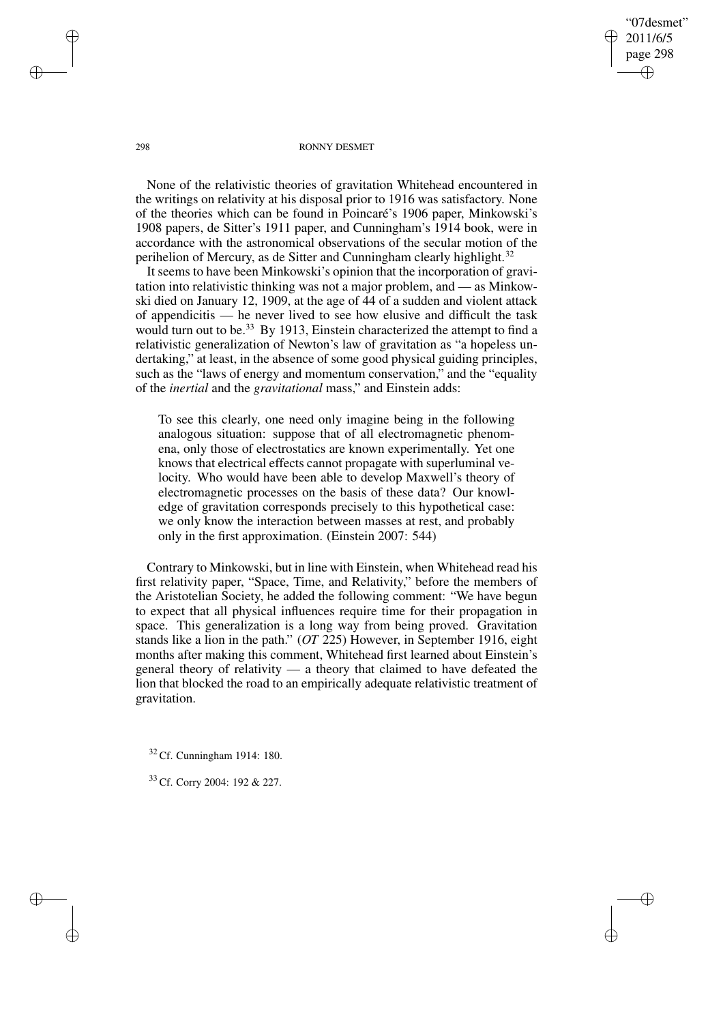"07desmet" 2011/6/5 page 298 ✐ ✐

✐

✐

#### 298 RONNY DESMET

None of the relativistic theories of gravitation Whitehead encountered in the writings on relativity at his disposal prior to 1916 was satisfactory. None of the theories which can be found in Poincaré's 1906 paper, Minkowski's 1908 papers, de Sitter's 1911 paper, and Cunningham's 1914 book, were in accordance with the astronomical observations of the secular motion of the perihelion of Mercury, as de Sitter and Cunningham clearly highlight.<sup>32</sup>

It seems to have been Minkowski's opinion that the incorporation of gravitation into relativistic thinking was not a major problem, and — as Minkowski died on January 12, 1909, at the age of 44 of a sudden and violent attack of appendicitis — he never lived to see how elusive and difficult the task would turn out to be.<sup>33</sup> By 1913, Einstein characterized the attempt to find a relativistic generalization of Newton's law of gravitation as "a hopeless undertaking," at least, in the absence of some good physical guiding principles, such as the "laws of energy and momentum conservation," and the "equality of the *inertial* and the *gravitational* mass," and Einstein adds:

To see this clearly, one need only imagine being in the following analogous situation: suppose that of all electromagnetic phenomena, only those of electrostatics are known experimentally. Yet one knows that electrical effects cannot propagate with superluminal velocity. Who would have been able to develop Maxwell's theory of electromagnetic processes on the basis of these data? Our knowledge of gravitation corresponds precisely to this hypothetical case: we only know the interaction between masses at rest, and probably only in the first approximation. (Einstein 2007: 544)

Contrary to Minkowski, but in line with Einstein, when Whitehead read his first relativity paper, "Space, Time, and Relativity," before the members of the Aristotelian Society, he added the following comment: "We have begun to expect that all physical influences require time for their propagation in space. This generalization is a long way from being proved. Gravitation stands like a lion in the path." (*OT* 225) However, in September 1916, eight months after making this comment, Whitehead first learned about Einstein's general theory of relativity — a theory that claimed to have defeated the lion that blocked the road to an empirically adequate relativistic treatment of gravitation.

<sup>32</sup> Cf. Cunningham 1914: 180.

<sup>33</sup> Cf. Corry 2004: 192 & 227.

✐

✐

✐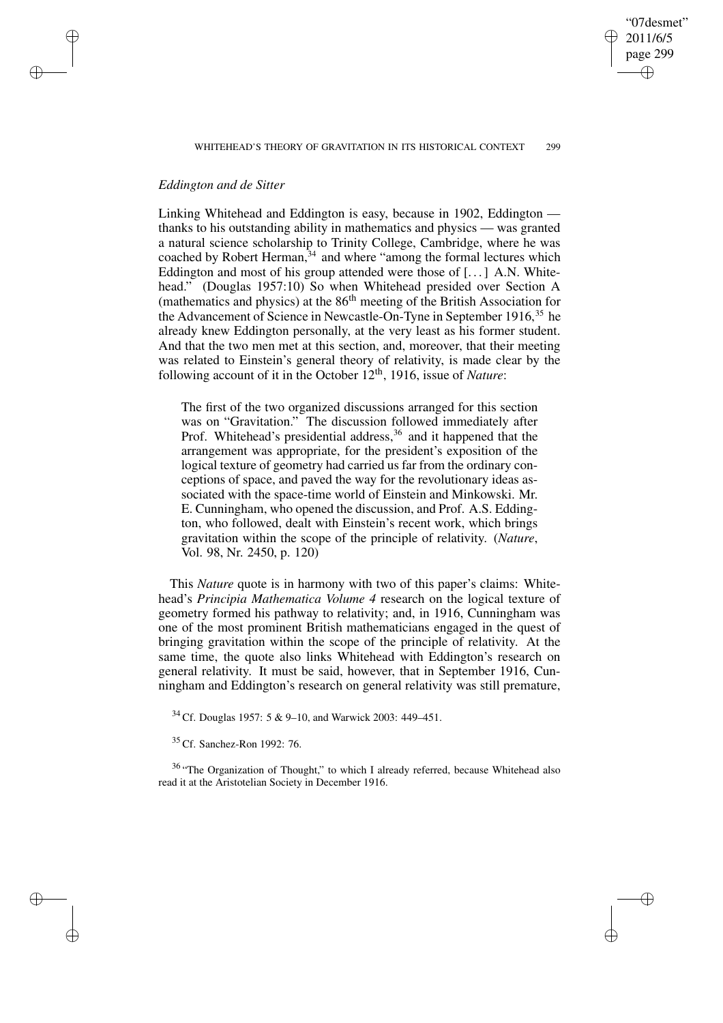#### WHITEHEAD'S THEORY OF GRAVITATION IN ITS HISTORICAL CONTEXT 299

"07desmet" 2011/6/5 page 299

✐

✐

✐

✐

# *Eddington and de Sitter*

✐

✐

✐

✐

Linking Whitehead and Eddington is easy, because in 1902, Eddington thanks to his outstanding ability in mathematics and physics — was granted a natural science scholarship to Trinity College, Cambridge, where he was coached by Robert Herman,  $34$  and where "among the formal lectures which Eddington and most of his group attended were those of [...] A.N. Whitehead." (Douglas 1957:10) So when Whitehead presided over Section A (mathematics and physics) at the 86<sup>th</sup> meeting of the British Association for the Advancement of Science in Newcastle-On-Tyne in September 1916,<sup>35</sup> he already knew Eddington personally, at the very least as his former student. And that the two men met at this section, and, moreover, that their meeting was related to Einstein's general theory of relativity, is made clear by the following account of it in the October 12<sup>th</sup>, 1916, issue of *Nature*:

The first of the two organized discussions arranged for this section was on "Gravitation." The discussion followed immediately after Prof. Whitehead's presidential address,<sup>36</sup> and it happened that the arrangement was appropriate, for the president's exposition of the logical texture of geometry had carried us far from the ordinary conceptions of space, and paved the way for the revolutionary ideas associated with the space-time world of Einstein and Minkowski. Mr. E. Cunningham, who opened the discussion, and Prof. A.S. Eddington, who followed, dealt with Einstein's recent work, which brings gravitation within the scope of the principle of relativity. (*Nature*, Vol. 98, Nr. 2450, p. 120)

This *Nature* quote is in harmony with two of this paper's claims: Whitehead's *Principia Mathematica Volume 4* research on the logical texture of geometry formed his pathway to relativity; and, in 1916, Cunningham was one of the most prominent British mathematicians engaged in the quest of bringing gravitation within the scope of the principle of relativity. At the same time, the quote also links Whitehead with Eddington's research on general relativity. It must be said, however, that in September 1916, Cunningham and Eddington's research on general relativity was still premature,

<sup>34</sup> Cf. Douglas 1957: 5 & 9–10, and Warwick 2003: 449–451.

<sup>35</sup> Cf. Sanchez-Ron 1992: 76.

<sup>36</sup> "The Organization of Thought," to which I already referred, because Whitehead also read it at the Aristotelian Society in December 1916.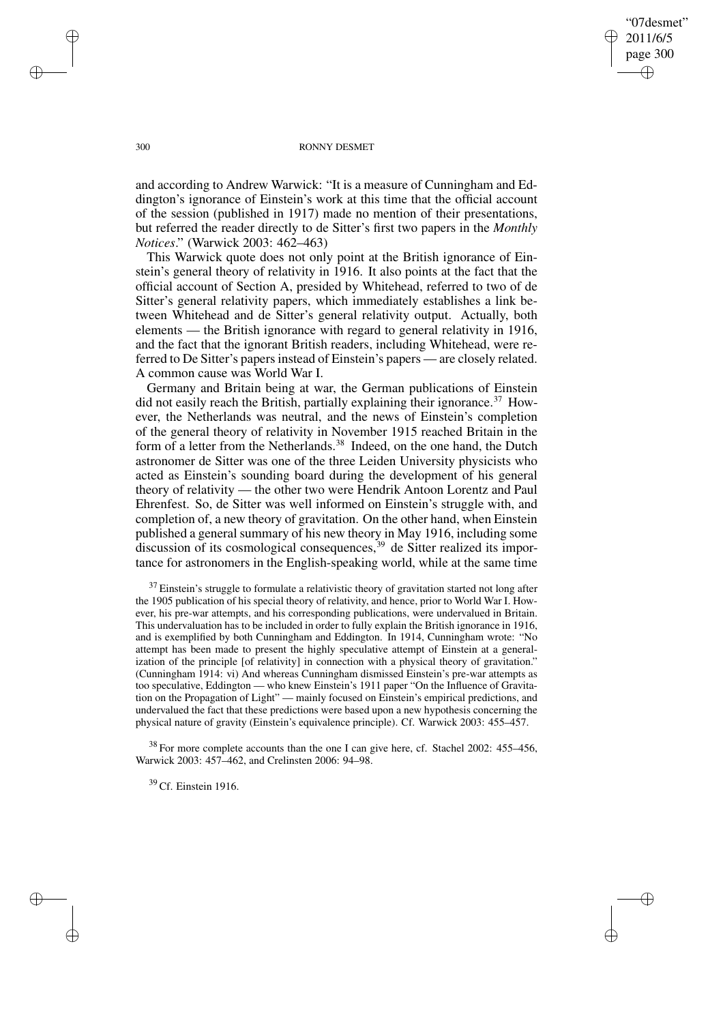"07desmet" 2011/6/5 page 300 ✐ ✐

✐

✐

#### 300 RONNY DESMET

and according to Andrew Warwick: "It is a measure of Cunningham and Eddington's ignorance of Einstein's work at this time that the official account of the session (published in 1917) made no mention of their presentations, but referred the reader directly to de Sitter's first two papers in the *Monthly Notices*." (Warwick 2003: 462–463)

This Warwick quote does not only point at the British ignorance of Einstein's general theory of relativity in 1916. It also points at the fact that the official account of Section A, presided by Whitehead, referred to two of de Sitter's general relativity papers, which immediately establishes a link between Whitehead and de Sitter's general relativity output. Actually, both elements — the British ignorance with regard to general relativity in 1916, and the fact that the ignorant British readers, including Whitehead, were referred to De Sitter's papers instead of Einstein's papers — are closely related. A common cause was World War I.

Germany and Britain being at war, the German publications of Einstein did not easily reach the British, partially explaining their ignorance.<sup>37</sup> However, the Netherlands was neutral, and the news of Einstein's completion of the general theory of relativity in November 1915 reached Britain in the form of a letter from the Netherlands.<sup>38</sup> Indeed, on the one hand, the Dutch astronomer de Sitter was one of the three Leiden University physicists who acted as Einstein's sounding board during the development of his general theory of relativity — the other two were Hendrik Antoon Lorentz and Paul Ehrenfest. So, de Sitter was well informed on Einstein's struggle with, and completion of, a new theory of gravitation. On the other hand, when Einstein published a general summary of his new theory in May 1916, including some discussion of its cosmological consequences,  $39$  de Sitter realized its importance for astronomers in the English-speaking world, while at the same time

 $37$  Einstein's struggle to formulate a relativistic theory of gravitation started not long after the 1905 publication of his special theory of relativity, and hence, prior to World War I. However, his pre-war attempts, and his corresponding publications, were undervalued in Britain. This undervaluation has to be included in order to fully explain the British ignorance in 1916, and is exemplified by both Cunningham and Eddington. In 1914, Cunningham wrote: "No attempt has been made to present the highly speculative attempt of Einstein at a generalization of the principle [of relativity] in connection with a physical theory of gravitation." (Cunningham 1914: vi) And whereas Cunningham dismissed Einstein's pre-war attempts as too speculative, Eddington — who knew Einstein's 1911 paper "On the Influence of Gravitation on the Propagation of Light" — mainly focused on Einstein's empirical predictions, and undervalued the fact that these predictions were based upon a new hypothesis concerning the physical nature of gravity (Einstein's equivalence principle). Cf. Warwick 2003: 455–457.

<sup>38</sup> For more complete accounts than the one I can give here, cf. Stachel 2002: 455–456, Warwick 2003: 457–462, and Crelinsten 2006: 94–98.

<sup>39</sup> Cf. Einstein 1916.

✐

✐

✐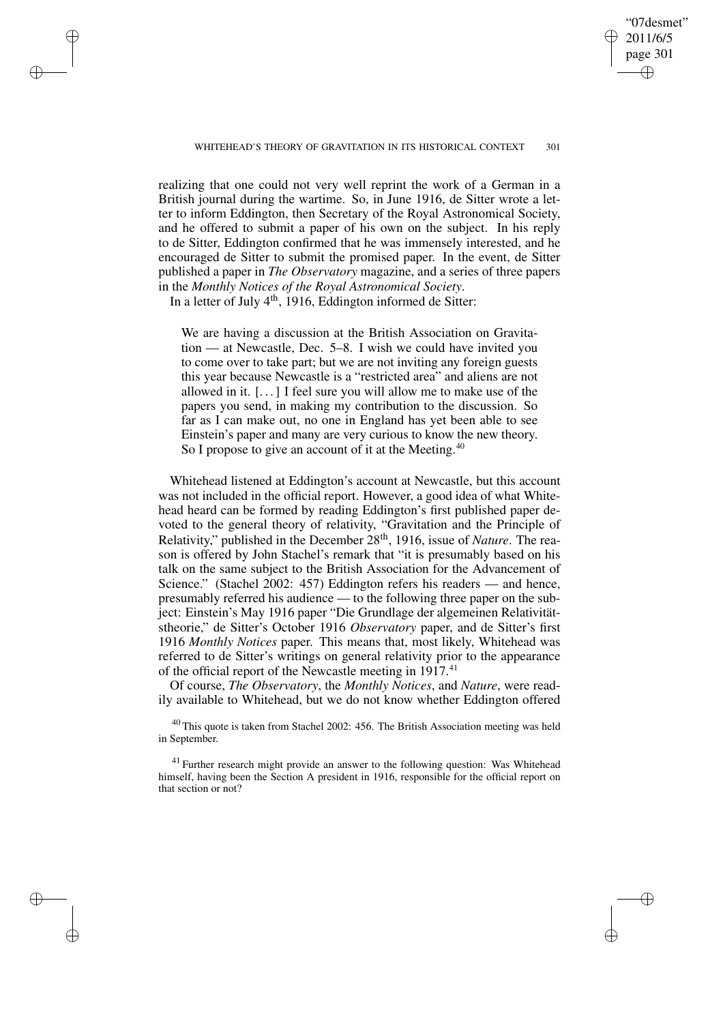## "07desmet" 2011/6/5 page 301 ✐ ✐

✐

✐

#### WHITEHEAD'S THEORY OF GRAVITATION IN ITS HISTORICAL CONTEXT 301

realizing that one could not very well reprint the work of a German in a British journal during the wartime. So, in June 1916, de Sitter wrote a letter to inform Eddington, then Secretary of the Royal Astronomical Society, and he offered to submit a paper of his own on the subject. In his reply to de Sitter, Eddington confirmed that he was immensely interested, and he encouraged de Sitter to submit the promised paper. In the event, de Sitter published a paper in *The Observatory* magazine, and a series of three papers in the *Monthly Notices of the Royal Astronomical Society*.

In a letter of July 4<sup>th</sup>, 1916, Eddington informed de Sitter:

✐

✐

✐

✐

We are having a discussion at the British Association on Gravitation — at Newcastle, Dec. 5–8. I wish we could have invited you to come over to take part; but we are not inviting any foreign guests this year because Newcastle is a "restricted area" and aliens are not allowed in it. [. . .] I feel sure you will allow me to make use of the papers you send, in making my contribution to the discussion. So far as I can make out, no one in England has yet been able to see Einstein's paper and many are very curious to know the new theory. So I propose to give an account of it at the Meeting.<sup>40</sup>

Whitehead listened at Eddington's account at Newcastle, but this account was not included in the official report. However, a good idea of what Whitehead heard can be formed by reading Eddington's first published paper devoted to the general theory of relativity, "Gravitation and the Principle of Relativity," published in the December 28<sup>th</sup>, 1916, issue of *Nature*. The reason is offered by John Stachel's remark that "it is presumably based on his talk on the same subject to the British Association for the Advancement of Science." (Stachel 2002: 457) Eddington refers his readers — and hence, presumably referred his audience — to the following three paper on the subject: Einstein's May 1916 paper "Die Grundlage der algemeinen Relativitätstheorie," de Sitter's October 1916 *Observatory* paper, and de Sitter's first 1916 *Monthly Notices* paper. This means that, most likely, Whitehead was referred to de Sitter's writings on general relativity prior to the appearance of the official report of the Newcastle meeting in 1917.<sup>41</sup>

Of course, *The Observatory*, the *Monthly Notices*, and *Nature*, were readily available to Whitehead, but we do not know whether Eddington offered

<sup>40</sup> This quote is taken from Stachel 2002: 456. The British Association meeting was held in September.

<sup>41</sup> Further research might provide an answer to the following question: Was Whitehead himself, having been the Section A president in 1916, responsible for the official report on that section or not?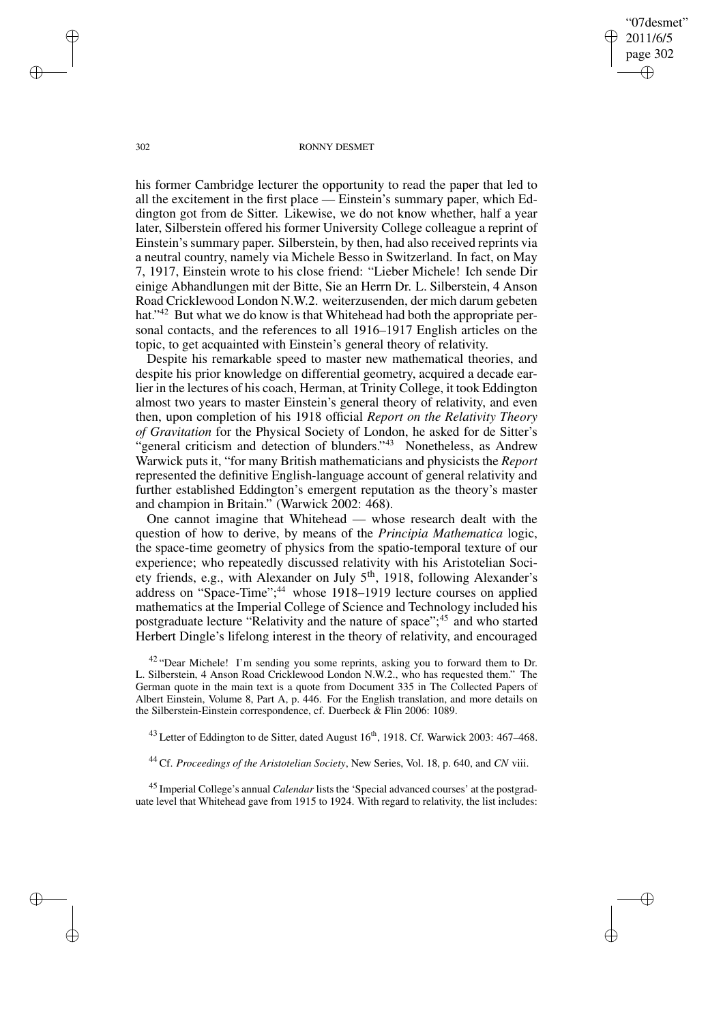"07desmet" 2011/6/5 page 302 ✐ ✐

✐

✐

#### 302 RONNY DESMET

his former Cambridge lecturer the opportunity to read the paper that led to all the excitement in the first place — Einstein's summary paper, which Eddington got from de Sitter. Likewise, we do not know whether, half a year later, Silberstein offered his former University College colleague a reprint of Einstein's summary paper. Silberstein, by then, had also received reprints via a neutral country, namely via Michele Besso in Switzerland. In fact, on May 7, 1917, Einstein wrote to his close friend: "Lieber Michele! Ich sende Dir einige Abhandlungen mit der Bitte, Sie an Herrn Dr. L. Silberstein, 4 Anson Road Cricklewood London N.W.2. weiterzusenden, der mich darum gebeten hat."<sup>42</sup> But what we do know is that Whitehead had both the appropriate personal contacts, and the references to all 1916–1917 English articles on the topic, to get acquainted with Einstein's general theory of relativity.

Despite his remarkable speed to master new mathematical theories, and despite his prior knowledge on differential geometry, acquired a decade earlier in the lectures of his coach, Herman, at Trinity College, it took Eddington almost two years to master Einstein's general theory of relativity, and even then, upon completion of his 1918 official *Report on the Relativity Theory of Gravitation* for the Physical Society of London, he asked for de Sitter's "general criticism and detection of blunders."<sup>43</sup> Nonetheless, as Andrew Warwick puts it, "for many British mathematicians and physicists the *Report* represented the definitive English-language account of general relativity and further established Eddington's emergent reputation as the theory's master and champion in Britain." (Warwick 2002: 468).

One cannot imagine that Whitehead — whose research dealt with the question of how to derive, by means of the *Principia Mathematica* logic, the space-time geometry of physics from the spatio-temporal texture of our experience; who repeatedly discussed relativity with his Aristotelian Society friends, e.g., with Alexander on July 5<sup>th</sup>, 1918, following Alexander's address on "Space-Time";<sup>44</sup> whose 1918–1919 lecture courses on applied mathematics at the Imperial College of Science and Technology included his postgraduate lecture "Relativity and the nature of space";<sup>45</sup> and who started Herbert Dingle's lifelong interest in the theory of relativity, and encouraged

<sup>42</sup> "Dear Michele! I'm sending you some reprints, asking you to forward them to Dr. L. Silberstein, 4 Anson Road Cricklewood London N.W.2., who has requested them." The German quote in the main text is a quote from Document 335 in The Collected Papers of Albert Einstein, Volume 8, Part A, p. 446. For the English translation, and more details on the Silberstein-Einstein correspondence, cf. Duerbeck & Flin 2006: 1089.

 $^{43}$  Letter of Eddington to de Sitter, dated August  $16<sup>th</sup>$ , 1918. Cf. Warwick 2003: 467–468.

<sup>44</sup> Cf. *Proceedings of the Aristotelian Society*, New Series, Vol. 18, p. 640, and *CN* viii.

<sup>45</sup> Imperial College's annual *Calendar* lists the 'Special advanced courses' at the postgraduate level that Whitehead gave from 1915 to 1924. With regard to relativity, the list includes:

✐

✐

✐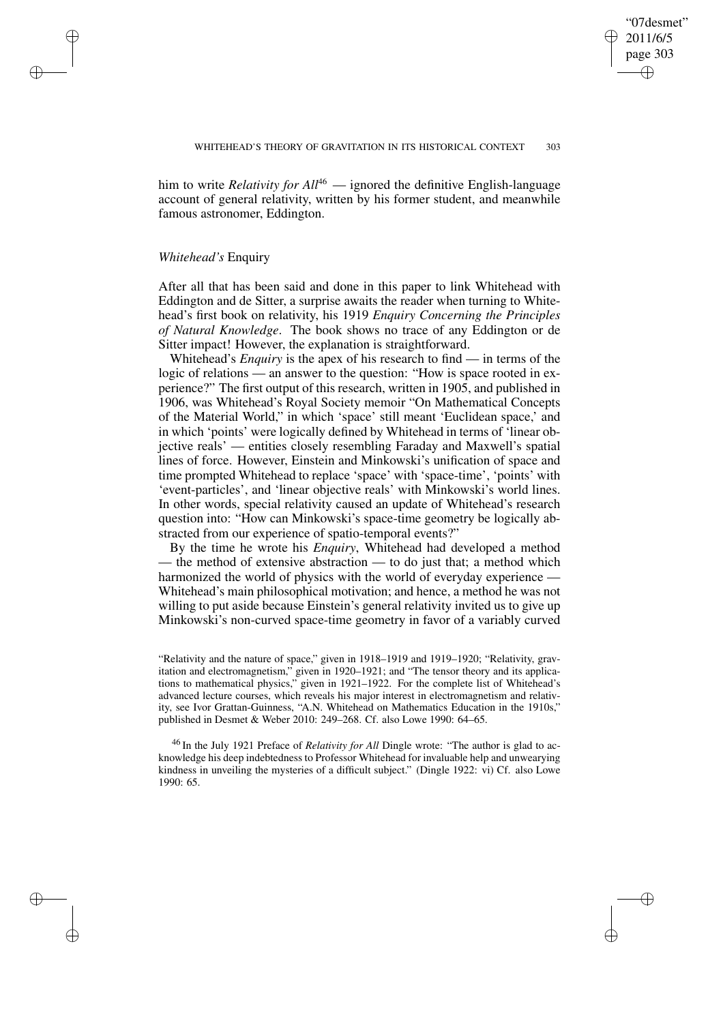✐

✐

him to write *Relativity for All*<sup>46</sup> — ignored the definitive English-language account of general relativity, written by his former student, and meanwhile famous astronomer, Eddington.

### *Whitehead's* Enquiry

✐

✐

✐

✐

After all that has been said and done in this paper to link Whitehead with Eddington and de Sitter, a surprise awaits the reader when turning to Whitehead's first book on relativity, his 1919 *Enquiry Concerning the Principles of Natural Knowledge*. The book shows no trace of any Eddington or de Sitter impact! However, the explanation is straightforward.

Whitehead's *Enquiry* is the apex of his research to find — in terms of the logic of relations — an answer to the question: "How is space rooted in experience?" The first output of this research, written in 1905, and published in 1906, was Whitehead's Royal Society memoir "On Mathematical Concepts of the Material World," in which 'space' still meant 'Euclidean space,' and in which 'points' were logically defined by Whitehead in terms of 'linear objective reals' — entities closely resembling Faraday and Maxwell's spatial lines of force. However, Einstein and Minkowski's unification of space and time prompted Whitehead to replace 'space' with 'space-time', 'points' with 'event-particles', and 'linear objective reals' with Minkowski's world lines. In other words, special relativity caused an update of Whitehead's research question into: "How can Minkowski's space-time geometry be logically abstracted from our experience of spatio-temporal events?"

By the time he wrote his *Enquiry*, Whitehead had developed a method — the method of extensive abstraction — to do just that; a method which harmonized the world of physics with the world of everyday experience — Whitehead's main philosophical motivation; and hence, a method he was not willing to put aside because Einstein's general relativity invited us to give up Minkowski's non-curved space-time geometry in favor of a variably curved

<sup>46</sup> In the July 1921 Preface of *Relativity for All* Dingle wrote: "The author is glad to acknowledge his deep indebtedness to Professor Whitehead for invaluable help and unwearying kindness in unveiling the mysteries of a difficult subject." (Dingle 1922: vi) Cf. also Lowe 1990: 65.

<sup>&</sup>quot;Relativity and the nature of space," given in 1918–1919 and 1919–1920; "Relativity, gravitation and electromagnetism," given in 1920–1921; and "The tensor theory and its applications to mathematical physics," given in 1921–1922. For the complete list of Whitehead's advanced lecture courses, which reveals his major interest in electromagnetism and relativity, see Ivor Grattan-Guinness, "A.N. Whitehead on Mathematics Education in the 1910s," published in Desmet & Weber 2010: 249–268. Cf. also Lowe 1990: 64–65.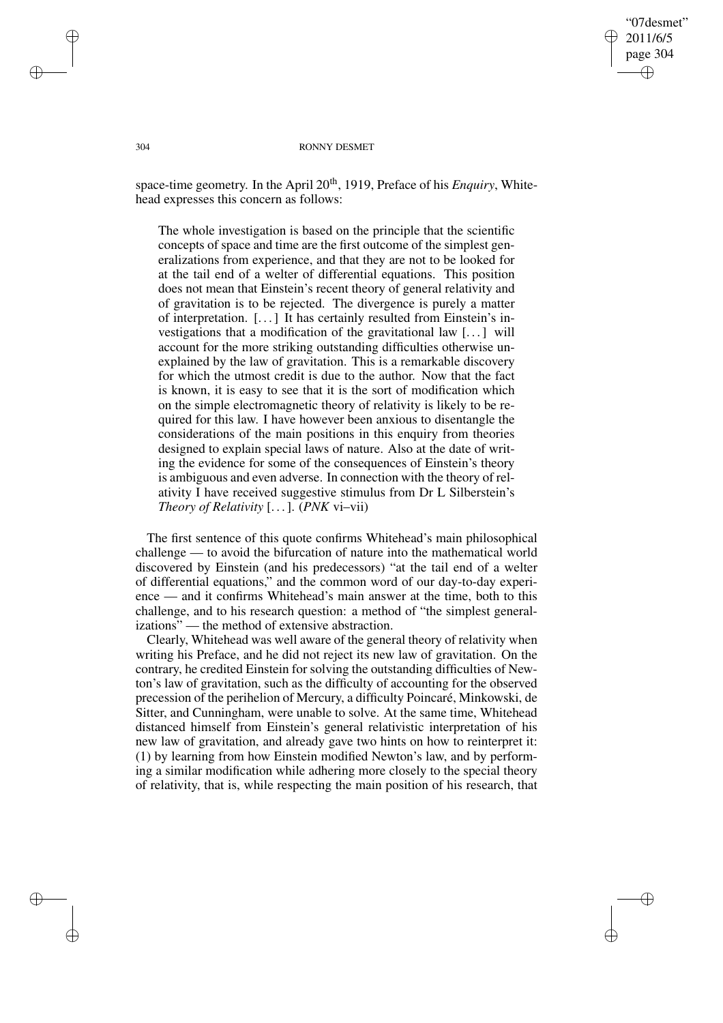"07desmet" 2011/6/5 page 304 ✐ ✐

✐

✐

#### 304 RONNY DESMET

space-time geometry. In the April 20<sup>th</sup>, 1919, Preface of his *Enquiry*, Whitehead expresses this concern as follows:

The whole investigation is based on the principle that the scientific concepts of space and time are the first outcome of the simplest generalizations from experience, and that they are not to be looked for at the tail end of a welter of differential equations. This position does not mean that Einstein's recent theory of general relativity and of gravitation is to be rejected. The divergence is purely a matter of interpretation. [. . .] It has certainly resulted from Einstein's investigations that a modification of the gravitational law [. . .] will account for the more striking outstanding difficulties otherwise unexplained by the law of gravitation. This is a remarkable discovery for which the utmost credit is due to the author. Now that the fact is known, it is easy to see that it is the sort of modification which on the simple electromagnetic theory of relativity is likely to be required for this law. I have however been anxious to disentangle the considerations of the main positions in this enquiry from theories designed to explain special laws of nature. Also at the date of writing the evidence for some of the consequences of Einstein's theory is ambiguous and even adverse. In connection with the theory of relativity I have received suggestive stimulus from Dr L Silberstein's *Theory of Relativity* [. . .]. (*PNK* vi–vii)

The first sentence of this quote confirms Whitehead's main philosophical challenge — to avoid the bifurcation of nature into the mathematical world discovered by Einstein (and his predecessors) "at the tail end of a welter of differential equations," and the common word of our day-to-day experience — and it confirms Whitehead's main answer at the time, both to this challenge, and to his research question: a method of "the simplest generalizations" — the method of extensive abstraction.

Clearly, Whitehead was well aware of the general theory of relativity when writing his Preface, and he did not reject its new law of gravitation. On the contrary, he credited Einstein for solving the outstanding difficulties of Newton's law of gravitation, such as the difficulty of accounting for the observed precession of the perihelion of Mercury, a difficulty Poincaré, Minkowski, de Sitter, and Cunningham, were unable to solve. At the same time, Whitehead distanced himself from Einstein's general relativistic interpretation of his new law of gravitation, and already gave two hints on how to reinterpret it: (1) by learning from how Einstein modified Newton's law, and by performing a similar modification while adhering more closely to the special theory of relativity, that is, while respecting the main position of his research, that

✐

✐

✐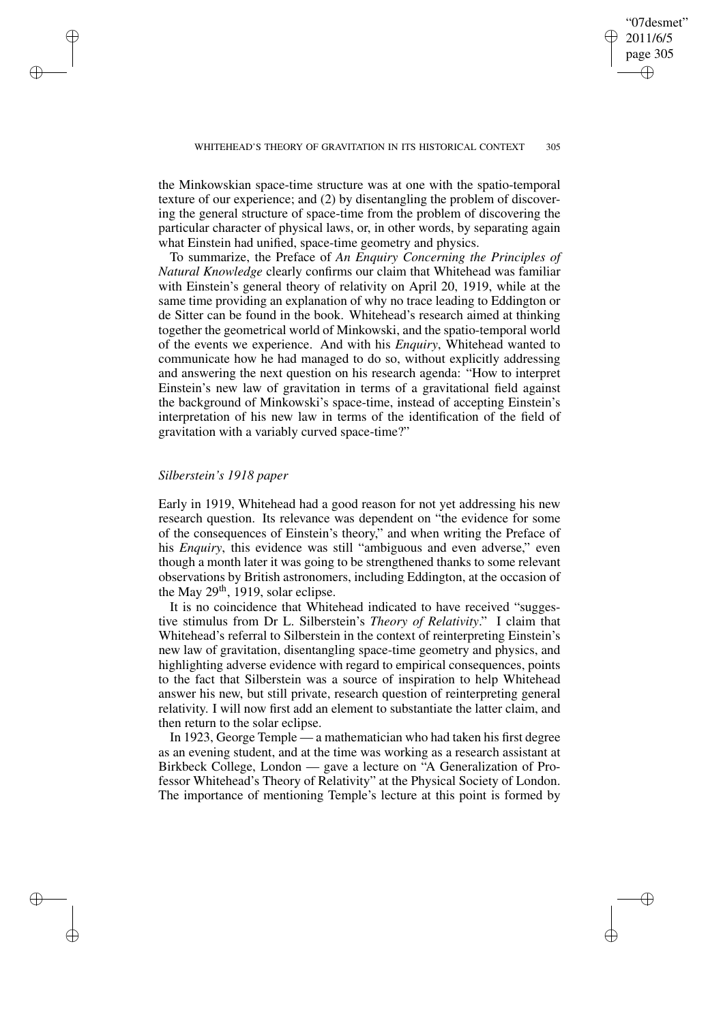the Minkowskian space-time structure was at one with the spatio-temporal texture of our experience; and (2) by disentangling the problem of discovering the general structure of space-time from the problem of discovering the particular character of physical laws, or, in other words, by separating again what Einstein had unified, space-time geometry and physics.

To summarize, the Preface of *An Enquiry Concerning the Principles of Natural Knowledge* clearly confirms our claim that Whitehead was familiar with Einstein's general theory of relativity on April 20, 1919, while at the same time providing an explanation of why no trace leading to Eddington or de Sitter can be found in the book. Whitehead's research aimed at thinking together the geometrical world of Minkowski, and the spatio-temporal world of the events we experience. And with his *Enquiry*, Whitehead wanted to communicate how he had managed to do so, without explicitly addressing and answering the next question on his research agenda: "How to interpret Einstein's new law of gravitation in terms of a gravitational field against the background of Minkowski's space-time, instead of accepting Einstein's interpretation of his new law in terms of the identification of the field of gravitation with a variably curved space-time?"

## *Silberstein's 1918 paper*

✐

✐

✐

✐

Early in 1919, Whitehead had a good reason for not yet addressing his new research question. Its relevance was dependent on "the evidence for some of the consequences of Einstein's theory," and when writing the Preface of his *Enquiry*, this evidence was still "ambiguous and even adverse," even though a month later it was going to be strengthened thanks to some relevant observations by British astronomers, including Eddington, at the occasion of the May  $29<sup>th</sup>$ , 1919, solar eclipse.

It is no coincidence that Whitehead indicated to have received "suggestive stimulus from Dr L. Silberstein's *Theory of Relativity*." I claim that Whitehead's referral to Silberstein in the context of reinterpreting Einstein's new law of gravitation, disentangling space-time geometry and physics, and highlighting adverse evidence with regard to empirical consequences, points to the fact that Silberstein was a source of inspiration to help Whitehead answer his new, but still private, research question of reinterpreting general relativity. I will now first add an element to substantiate the latter claim, and then return to the solar eclipse.

In 1923, George Temple — a mathematician who had taken his first degree as an evening student, and at the time was working as a research assistant at Birkbeck College, London — gave a lecture on "A Generalization of Professor Whitehead's Theory of Relativity" at the Physical Society of London. The importance of mentioning Temple's lecture at this point is formed by

"07desmet" 2011/6/5 page 305

✐

✐

✐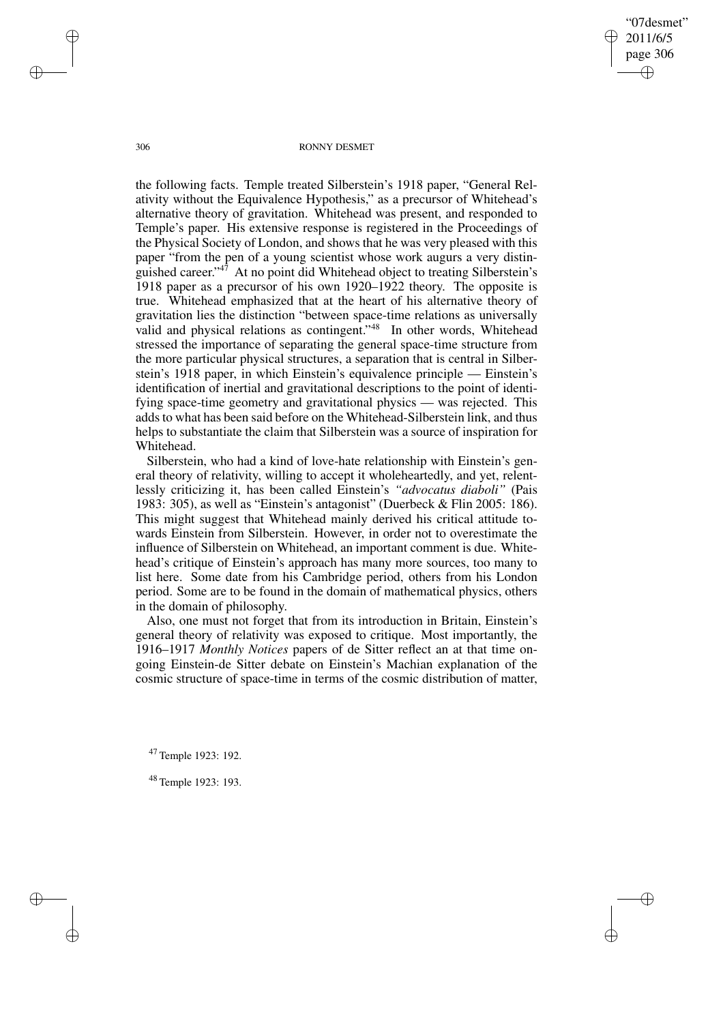"07desmet" 2011/6/5 page 306 ✐ ✐

✐

✐

#### 306 RONNY DESMET

the following facts. Temple treated Silberstein's 1918 paper, "General Relativity without the Equivalence Hypothesis," as a precursor of Whitehead's alternative theory of gravitation. Whitehead was present, and responded to Temple's paper. His extensive response is registered in the Proceedings of the Physical Society of London, and shows that he was very pleased with this paper "from the pen of a young scientist whose work augurs a very distinguished career." <sup>47</sup> At no point did Whitehead object to treating Silberstein's 1918 paper as a precursor of his own 1920–1922 theory. The opposite is true. Whitehead emphasized that at the heart of his alternative theory of gravitation lies the distinction "between space-time relations as universally valid and physical relations as contingent."<sup>48</sup> In other words, Whitehead stressed the importance of separating the general space-time structure from the more particular physical structures, a separation that is central in Silberstein's 1918 paper, in which Einstein's equivalence principle — Einstein's identification of inertial and gravitational descriptions to the point of identifying space-time geometry and gravitational physics — was rejected. This adds to what has been said before on the Whitehead-Silberstein link, and thus helps to substantiate the claim that Silberstein was a source of inspiration for Whitehead.

Silberstein, who had a kind of love-hate relationship with Einstein's general theory of relativity, willing to accept it wholeheartedly, and yet, relentlessly criticizing it, has been called Einstein's *"advocatus diaboli"* (Pais 1983: 305), as well as "Einstein's antagonist" (Duerbeck & Flin 2005: 186). This might suggest that Whitehead mainly derived his critical attitude towards Einstein from Silberstein. However, in order not to overestimate the influence of Silberstein on Whitehead, an important comment is due. Whitehead's critique of Einstein's approach has many more sources, too many to list here. Some date from his Cambridge period, others from his London period. Some are to be found in the domain of mathematical physics, others in the domain of philosophy.

Also, one must not forget that from its introduction in Britain, Einstein's general theory of relativity was exposed to critique. Most importantly, the 1916–1917 *Monthly Notices* papers of de Sitter reflect an at that time ongoing Einstein-de Sitter debate on Einstein's Machian explanation of the cosmic structure of space-time in terms of the cosmic distribution of matter,

<sup>47</sup> Temple 1923: 192.

<sup>48</sup> Temple 1923: 193.

✐

✐

✐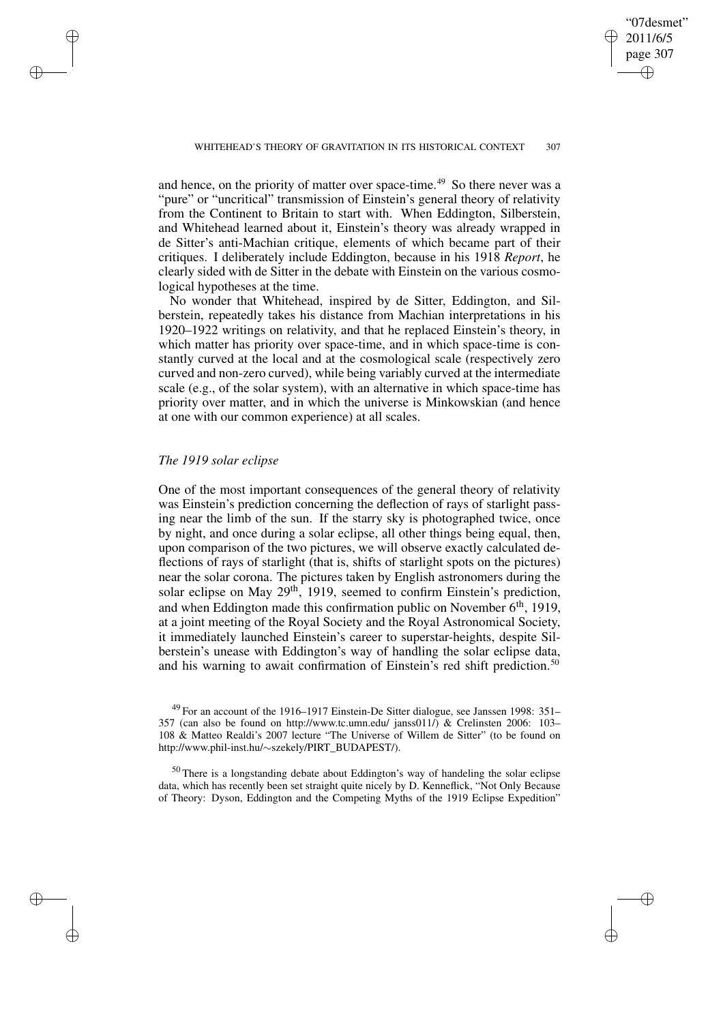"07desmet" 2011/6/5 page 307

✐

✐

✐

✐

and hence, on the priority of matter over space-time.<sup>49</sup> So there never was a "pure" or "uncritical" transmission of Einstein's general theory of relativity from the Continent to Britain to start with. When Eddington, Silberstein, and Whitehead learned about it, Einstein's theory was already wrapped in de Sitter's anti-Machian critique, elements of which became part of their critiques. I deliberately include Eddington, because in his 1918 *Report*, he clearly sided with de Sitter in the debate with Einstein on the various cosmological hypotheses at the time.

No wonder that Whitehead, inspired by de Sitter, Eddington, and Silberstein, repeatedly takes his distance from Machian interpretations in his 1920–1922 writings on relativity, and that he replaced Einstein's theory, in which matter has priority over space-time, and in which space-time is constantly curved at the local and at the cosmological scale (respectively zero curved and non-zero curved), while being variably curved at the intermediate scale (e.g., of the solar system), with an alternative in which space-time has priority over matter, and in which the universe is Minkowskian (and hence at one with our common experience) at all scales.

## *The 1919 solar eclipse*

✐

✐

✐

✐

One of the most important consequences of the general theory of relativity was Einstein's prediction concerning the deflection of rays of starlight passing near the limb of the sun. If the starry sky is photographed twice, once by night, and once during a solar eclipse, all other things being equal, then, upon comparison of the two pictures, we will observe exactly calculated deflections of rays of starlight (that is, shifts of starlight spots on the pictures) near the solar corona. The pictures taken by English astronomers during the solar eclipse on May  $29<sup>th</sup>$ , 1919, seemed to confirm Einstein's prediction, and when Eddington made this confirmation public on November 6<sup>th</sup>, 1919, at a joint meeting of the Royal Society and the Royal Astronomical Society, it immediately launched Einstein's career to superstar-heights, despite Silberstein's unease with Eddington's way of handling the solar eclipse data, and his warning to await confirmation of Einstein's red shift prediction.<sup>50</sup>

<sup>49</sup> For an account of the 1916–1917 Einstein-De Sitter dialogue, see Janssen 1998: 351– 357 (can also be found on http://www.tc.umn.edu/ janss011/) & Crelinsten 2006: 103– 108 & Matteo Realdi's 2007 lecture "The Universe of Willem de Sitter" (to be found on http://www.phil-inst.hu/∼szekely/PIRT\_BUDAPEST/).

<sup>50</sup> There is a longstanding debate about Eddington's way of handeling the solar eclipse data, which has recently been set straight quite nicely by D. Kenneflick, "Not Only Because of Theory: Dyson, Eddington and the Competing Myths of the 1919 Eclipse Expedition"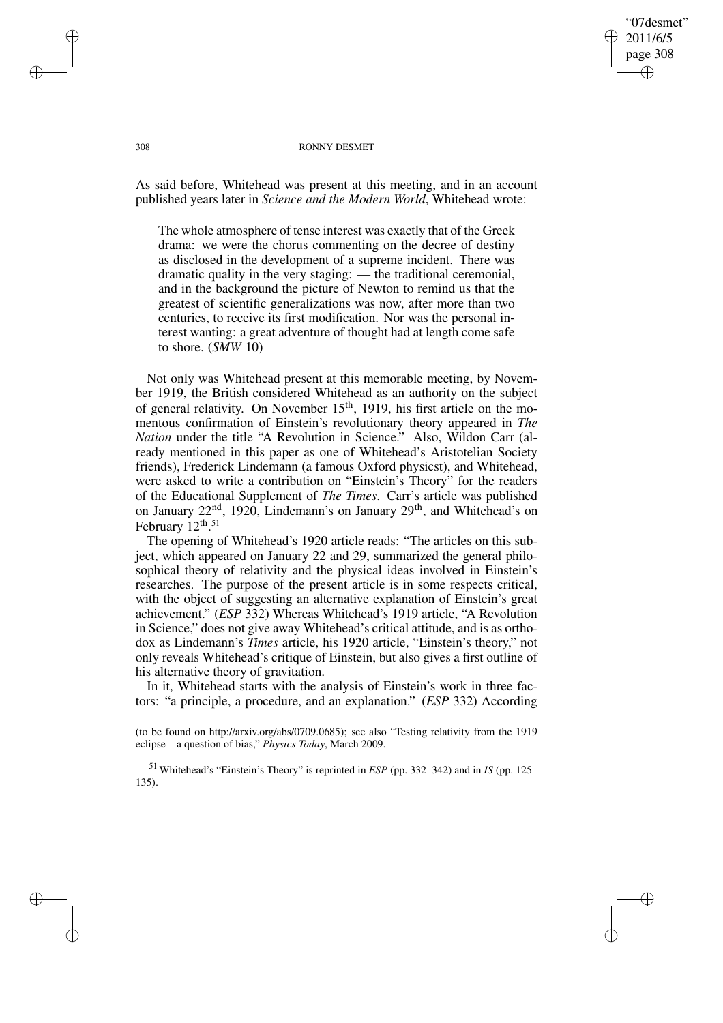## "07desmet" 2011/6/5 page 308 ✐ ✐

✐

✐

#### 308 RONNY DESMET

As said before, Whitehead was present at this meeting, and in an account published years later in *Science and the Modern World*, Whitehead wrote:

The whole atmosphere of tense interest was exactly that of the Greek drama: we were the chorus commenting on the decree of destiny as disclosed in the development of a supreme incident. There was dramatic quality in the very staging: — the traditional ceremonial, and in the background the picture of Newton to remind us that the greatest of scientific generalizations was now, after more than two centuries, to receive its first modification. Nor was the personal interest wanting: a great adventure of thought had at length come safe to shore. (*SMW* 10)

Not only was Whitehead present at this memorable meeting, by November 1919, the British considered Whitehead as an authority on the subject of general relativity. On November 15<sup>th</sup>, 1919, his first article on the momentous confirmation of Einstein's revolutionary theory appeared in *The Nation* under the title "A Revolution in Science." Also, Wildon Carr (already mentioned in this paper as one of Whitehead's Aristotelian Society friends), Frederick Lindemann (a famous Oxford physicst), and Whitehead, were asked to write a contribution on "Einstein's Theory" for the readers of the Educational Supplement of *The Times*. Carr's article was published on January 22<sup>nd</sup>, 1920, Lindemann's on January 29<sup>th</sup>, and Whitehead's on February 12<sup>th</sup>.<sup>51</sup>

The opening of Whitehead's 1920 article reads: "The articles on this subject, which appeared on January 22 and 29, summarized the general philosophical theory of relativity and the physical ideas involved in Einstein's researches. The purpose of the present article is in some respects critical, with the object of suggesting an alternative explanation of Einstein's great achievement." (*ESP* 332) Whereas Whitehead's 1919 article, "A Revolution in Science," does not give away Whitehead's critical attitude, and is as orthodox as Lindemann's *Times* article, his 1920 article, "Einstein's theory," not only reveals Whitehead's critique of Einstein, but also gives a first outline of his alternative theory of gravitation.

In it, Whitehead starts with the analysis of Einstein's work in three factors: "a principle, a procedure, and an explanation." (*ESP* 332) According

(to be found on http://arxiv.org/abs/0709.0685); see also "Testing relativity from the 1919 eclipse – a question of bias," *Physics Today*, March 2009.

<sup>51</sup> Whitehead's "Einstein's Theory" is reprinted in *ESP* (pp. 332–342) and in *IS* (pp. 125– 135).

✐

✐

✐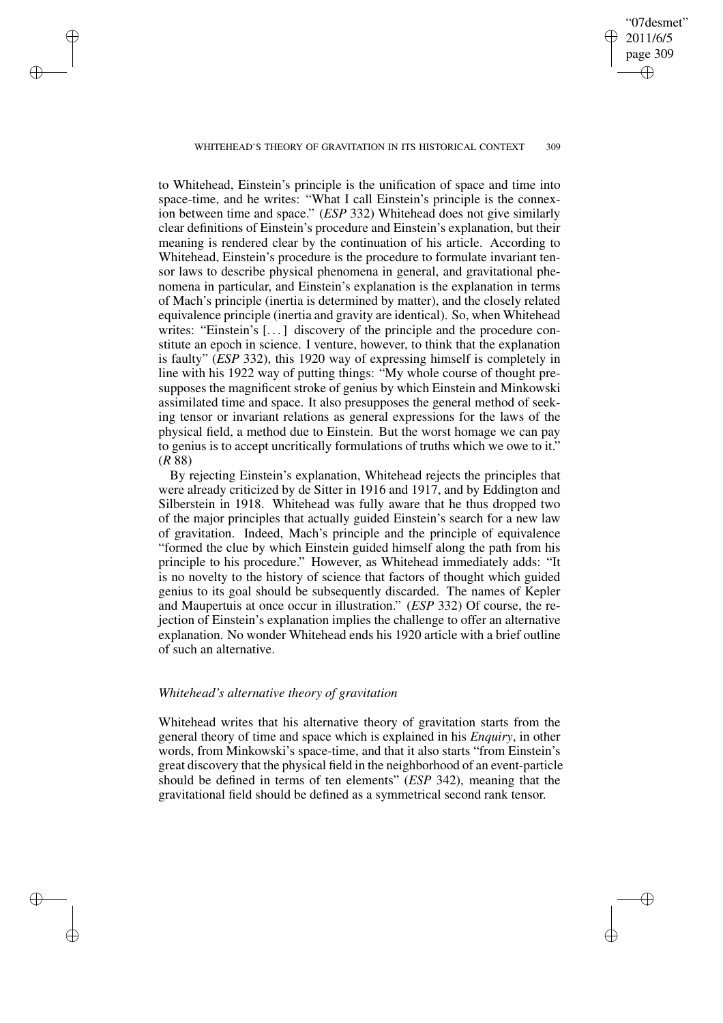#### WHITEHEAD'S THEORY OF GRAVITATION IN ITS HISTORICAL CONTEXT 309

✐

✐

✐

✐

"07desmet" 2011/6/5 page 309

✐

✐

✐

✐

to Whitehead, Einstein's principle is the unification of space and time into space-time, and he writes: "What I call Einstein's principle is the connexion between time and space." (*ESP* 332) Whitehead does not give similarly clear definitions of Einstein's procedure and Einstein's explanation, but their meaning is rendered clear by the continuation of his article. According to Whitehead, Einstein's procedure is the procedure to formulate invariant tensor laws to describe physical phenomena in general, and gravitational phenomena in particular, and Einstein's explanation is the explanation in terms of Mach's principle (inertia is determined by matter), and the closely related equivalence principle (inertia and gravity are identical). So, when Whitehead writes: "Einstein's [...] discovery of the principle and the procedure constitute an epoch in science. I venture, however, to think that the explanation is faulty" (*ESP* 332), this 1920 way of expressing himself is completely in line with his 1922 way of putting things: "My whole course of thought presupposes the magnificent stroke of genius by which Einstein and Minkowski assimilated time and space. It also presupposes the general method of seeking tensor or invariant relations as general expressions for the laws of the physical field, a method due to Einstein. But the worst homage we can pay to genius is to accept uncritically formulations of truths which we owe to it." (*R* 88)

By rejecting Einstein's explanation, Whitehead rejects the principles that were already criticized by de Sitter in 1916 and 1917, and by Eddington and Silberstein in 1918. Whitehead was fully aware that he thus dropped two of the major principles that actually guided Einstein's search for a new law of gravitation. Indeed, Mach's principle and the principle of equivalence "formed the clue by which Einstein guided himself along the path from his principle to his procedure." However, as Whitehead immediately adds: "It is no novelty to the history of science that factors of thought which guided genius to its goal should be subsequently discarded. The names of Kepler and Maupertuis at once occur in illustration." (*ESP* 332) Of course, the rejection of Einstein's explanation implies the challenge to offer an alternative explanation. No wonder Whitehead ends his 1920 article with a brief outline of such an alternative.

### *Whitehead's alternative theory of gravitation*

Whitehead writes that his alternative theory of gravitation starts from the general theory of time and space which is explained in his *Enquiry*, in other words, from Minkowski's space-time, and that it also starts "from Einstein's great discovery that the physical field in the neighborhood of an event-particle should be defined in terms of ten elements" (*ESP* 342), meaning that the gravitational field should be defined as a symmetrical second rank tensor.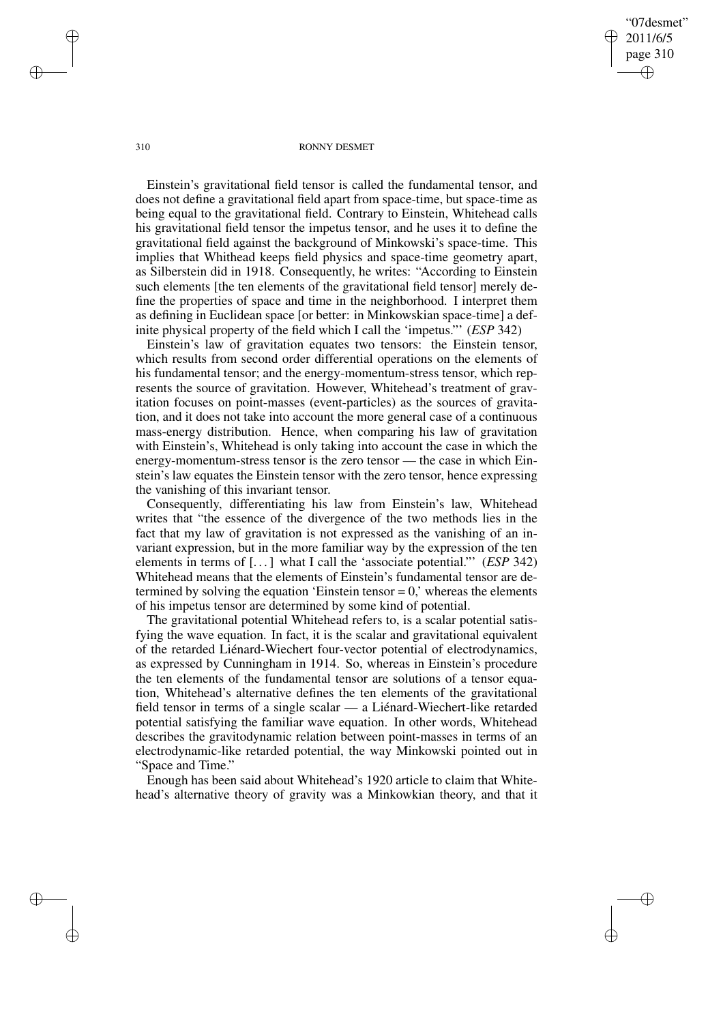"07desmet" 2011/6/5 page 310 ✐ ✐

✐

✐

#### 310 RONNY DESMET

Einstein's gravitational field tensor is called the fundamental tensor, and does not define a gravitational field apart from space-time, but space-time as being equal to the gravitational field. Contrary to Einstein, Whitehead calls his gravitational field tensor the impetus tensor, and he uses it to define the gravitational field against the background of Minkowski's space-time. This implies that Whithead keeps field physics and space-time geometry apart, as Silberstein did in 1918. Consequently, he writes: "According to Einstein such elements [the ten elements of the gravitational field tensor] merely define the properties of space and time in the neighborhood. I interpret them as defining in Euclidean space [or better: in Minkowskian space-time] a definite physical property of the field which I call the 'impetus."' (*ESP* 342)

Einstein's law of gravitation equates two tensors: the Einstein tensor, which results from second order differential operations on the elements of his fundamental tensor; and the energy-momentum-stress tensor, which represents the source of gravitation. However, Whitehead's treatment of gravitation focuses on point-masses (event-particles) as the sources of gravitation, and it does not take into account the more general case of a continuous mass-energy distribution. Hence, when comparing his law of gravitation with Einstein's, Whitehead is only taking into account the case in which the energy-momentum-stress tensor is the zero tensor — the case in which Einstein's law equates the Einstein tensor with the zero tensor, hence expressing the vanishing of this invariant tensor.

Consequently, differentiating his law from Einstein's law, Whitehead writes that "the essence of the divergence of the two methods lies in the fact that my law of gravitation is not expressed as the vanishing of an invariant expression, but in the more familiar way by the expression of the ten elements in terms of [. . .] what I call the 'associate potential."' (*ESP* 342) Whitehead means that the elements of Einstein's fundamental tensor are determined by solving the equation 'Einstein tensor  $= 0$ ,' whereas the elements of his impetus tensor are determined by some kind of potential.

The gravitational potential Whitehead refers to, is a scalar potential satisfying the wave equation. In fact, it is the scalar and gravitational equivalent of the retarded Liénard-Wiechert four-vector potential of electrodynamics, as expressed by Cunningham in 1914. So, whereas in Einstein's procedure the ten elements of the fundamental tensor are solutions of a tensor equation, Whitehead's alternative defines the ten elements of the gravitational field tensor in terms of a single scalar — a Liénard-Wiechert-like retarded potential satisfying the familiar wave equation. In other words, Whitehead describes the gravitodynamic relation between point-masses in terms of an electrodynamic-like retarded potential, the way Minkowski pointed out in "Space and Time."

Enough has been said about Whitehead's 1920 article to claim that Whitehead's alternative theory of gravity was a Minkowkian theory, and that it

✐

✐

✐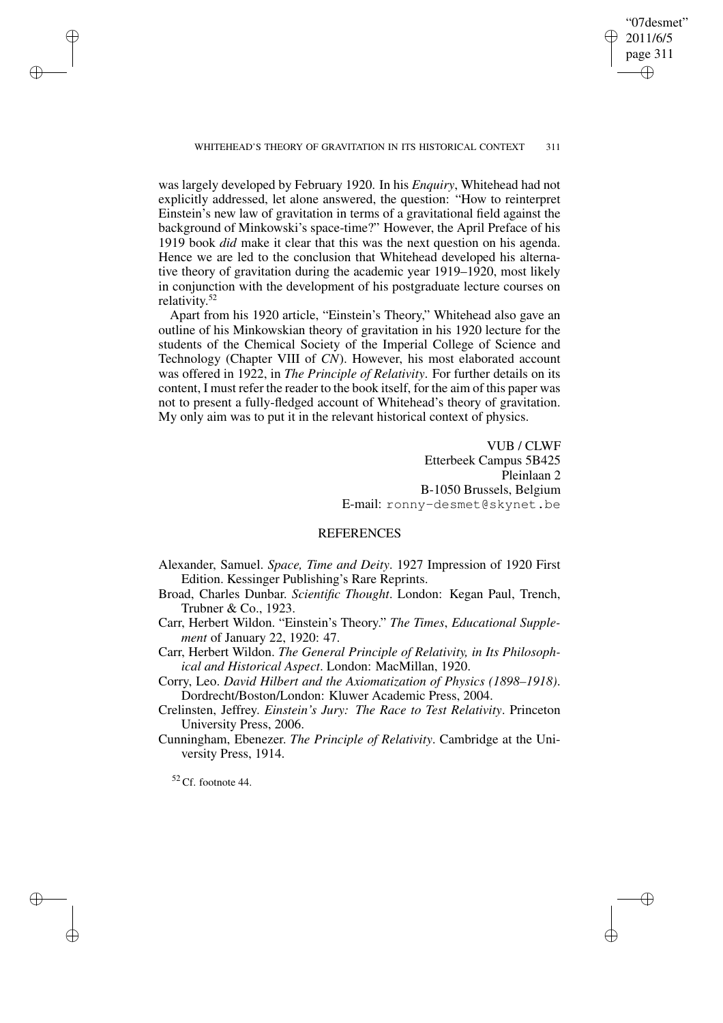WHITEHEAD'S THEORY OF GRAVITATION IN ITS HISTORICAL CONTEXT 311

was largely developed by February 1920. In his *Enquiry*, Whitehead had not explicitly addressed, let alone answered, the question: "How to reinterpret Einstein's new law of gravitation in terms of a gravitational field against the background of Minkowski's space-time?" However, the April Preface of his 1919 book *did* make it clear that this was the next question on his agenda. Hence we are led to the conclusion that Whitehead developed his alternative theory of gravitation during the academic year 1919–1920, most likely in conjunction with the development of his postgraduate lecture courses on relativity. 52

Apart from his 1920 article, "Einstein's Theory," Whitehead also gave an outline of his Minkowskian theory of gravitation in his 1920 lecture for the students of the Chemical Society of the Imperial College of Science and Technology (Chapter VIII of *CN*). However, his most elaborated account was offered in 1922, in *The Principle of Relativity*. For further details on its content, I must refer the reader to the book itself, for the aim of this paper was not to present a fully-fledged account of Whitehead's theory of gravitation. My only aim was to put it in the relevant historical context of physics.

> VUB / CLWF Etterbeek Campus 5B425 Pleinlaan 2 B-1050 Brussels, Belgium E-mail: ronny-desmet@skynet.be

"07desmet" 2011/6/5 page 311

✐

✐

✐

✐

# **REFERENCES**

- Alexander, Samuel. *Space, Time and Deity*. 1927 Impression of 1920 First Edition. Kessinger Publishing's Rare Reprints.
- Broad, Charles Dunbar. *Scientific Thought*. London: Kegan Paul, Trench, Trubner & Co., 1923.
- Carr, Herbert Wildon. "Einstein's Theory." *The Times*, *Educational Supplement* of January 22, 1920: 47.
- Carr, Herbert Wildon. *The General Principle of Relativity, in Its Philosophical and Historical Aspect*. London: MacMillan, 1920.
- Corry, Leo. *David Hilbert and the Axiomatization of Physics (1898–1918)*. Dordrecht/Boston/London: Kluwer Academic Press, 2004.
- Crelinsten, Jeffrey. *Einstein's Jury: The Race to Test Relativity*. Princeton University Press, 2006.
- Cunningham, Ebenezer. *The Principle of Relativity*. Cambridge at the University Press, 1914.

<sup>52</sup> Cf. footnote 44.

✐

✐

✐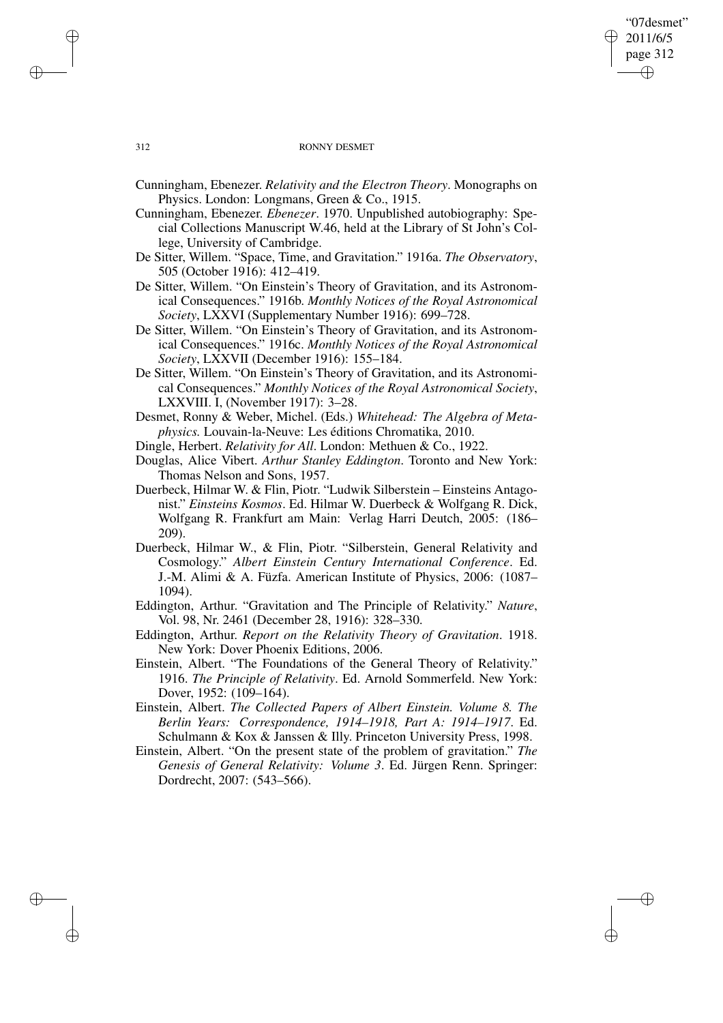## "07desmet" 2011/6/5 page 312 ✐ ✐

✐

✐

#### 312 RONNY DESMET

- Cunningham, Ebenezer. *Relativity and the Electron Theory*. Monographs on Physics. London: Longmans, Green & Co., 1915.
- Cunningham, Ebenezer. *Ebenezer*. 1970. Unpublished autobiography: Special Collections Manuscript W.46, held at the Library of St John's College, University of Cambridge.
- De Sitter, Willem. "Space, Time, and Gravitation." 1916a. *The Observatory*, 505 (October 1916): 412–419.
- De Sitter, Willem. "On Einstein's Theory of Gravitation, and its Astronomical Consequences." 1916b. *Monthly Notices of the Royal Astronomical Society*, LXXVI (Supplementary Number 1916): 699–728.
- De Sitter, Willem. "On Einstein's Theory of Gravitation, and its Astronomical Consequences." 1916c. *Monthly Notices of the Royal Astronomical Society*, LXXVII (December 1916): 155–184.
- De Sitter, Willem. "On Einstein's Theory of Gravitation, and its Astronomical Consequences." *Monthly Notices of the Royal Astronomical Society*, LXXVIII. I, (November 1917): 3–28.
- Desmet, Ronny & Weber, Michel. (Eds.) *Whitehead: The Algebra of Metaphysics.* Louvain-la-Neuve: Les éditions Chromatika, 2010.
- Dingle, Herbert. *Relativity for All*. London: Methuen & Co., 1922.
- Douglas, Alice Vibert. *Arthur Stanley Eddington*. Toronto and New York: Thomas Nelson and Sons, 1957.
- Duerbeck, Hilmar W. & Flin, Piotr. "Ludwik Silberstein Einsteins Antagonist." *Einsteins Kosmos*. Ed. Hilmar W. Duerbeck & Wolfgang R. Dick, Wolfgang R. Frankfurt am Main: Verlag Harri Deutch, 2005: (186– 209).
- Duerbeck, Hilmar W., & Flin, Piotr. "Silberstein, General Relativity and Cosmology." *Albert Einstein Century International Conference*. Ed. J.-M. Alimi & A. Füzfa. American Institute of Physics, 2006: (1087– 1094).
- Eddington, Arthur. "Gravitation and The Principle of Relativity." *Nature*, Vol. 98, Nr. 2461 (December 28, 1916): 328–330.
- Eddington, Arthur. *Report on the Relativity Theory of Gravitation*. 1918. New York: Dover Phoenix Editions, 2006.
- Einstein, Albert. "The Foundations of the General Theory of Relativity." 1916. *The Principle of Relativity*. Ed. Arnold Sommerfeld. New York: Dover, 1952: (109–164).
- Einstein, Albert. *The Collected Papers of Albert Einstein. Volume 8. The Berlin Years: Correspondence, 1914–1918, Part A: 1914–1917*. Ed. Schulmann & Kox & Janssen & Illy. Princeton University Press, 1998.
- Einstein, Albert. "On the present state of the problem of gravitation." *The Genesis of General Relativity: Volume 3*. Ed. Jürgen Renn. Springer: Dordrecht, 2007: (543–566).

✐

✐

✐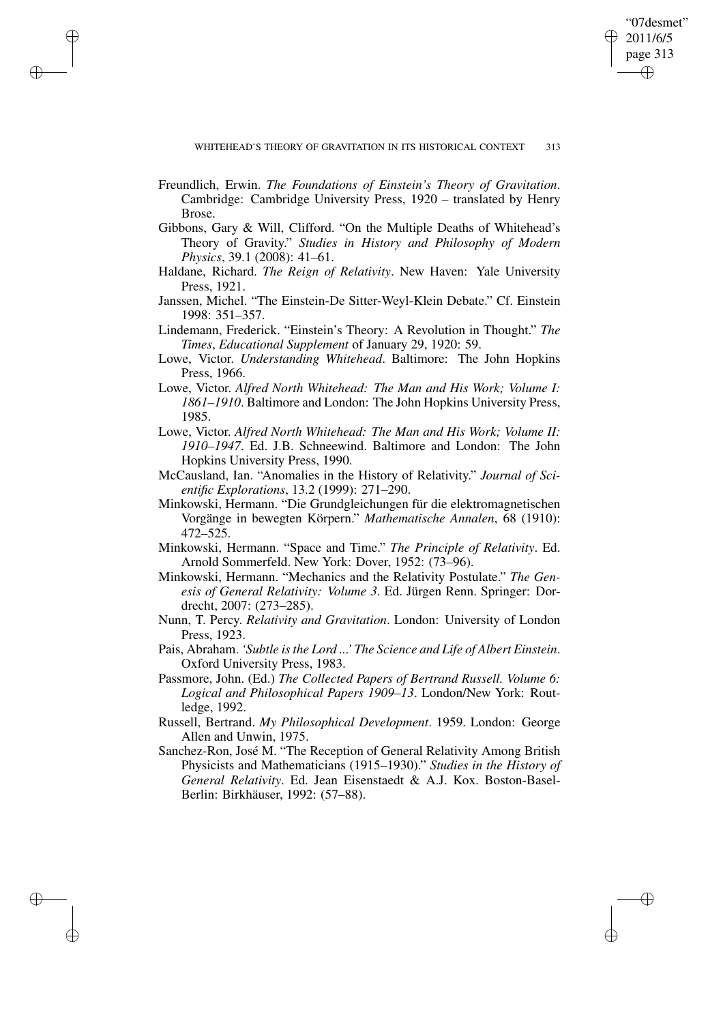✐

✐

Freundlich, Erwin. *The Foundations of Einstein's Theory of Gravitation*. Cambridge: Cambridge University Press, 1920 – translated by Henry Brose.

✐

✐

✐

- Gibbons, Gary & Will, Clifford. "On the Multiple Deaths of Whitehead's Theory of Gravity." *Studies in History and Philosophy of Modern Physics*, 39.1 (2008): 41–61.
- Haldane, Richard. *The Reign of Relativity*. New Haven: Yale University Press, 1921.
- Janssen, Michel. "The Einstein-De Sitter-Weyl-Klein Debate." Cf. Einstein 1998: 351–357.
- Lindemann, Frederick. "Einstein's Theory: A Revolution in Thought." *The Times*, *Educational Supplement* of January 29, 1920: 59.
- Lowe, Victor. *Understanding Whitehead*. Baltimore: The John Hopkins Press, 1966.
- Lowe, Victor. *Alfred North Whitehead: The Man and His Work; Volume I: 1861–1910*. Baltimore and London: The John Hopkins University Press, 1985.
- Lowe, Victor. *Alfred North Whitehead: The Man and His Work; Volume II: 1910–1947*. Ed. J.B. Schneewind. Baltimore and London: The John Hopkins University Press, 1990.
- McCausland, Ian. "Anomalies in the History of Relativity." *Journal of Scientific Explorations*, 13.2 (1999): 271–290.
- Minkowski, Hermann. "Die Grundgleichungen für die elektromagnetischen Vorgänge in bewegten Körpern." *Mathematische Annalen*, 68 (1910): 472–525.
- Minkowski, Hermann. "Space and Time." *The Principle of Relativity*. Ed. Arnold Sommerfeld. New York: Dover, 1952: (73–96).
- Minkowski, Hermann. "Mechanics and the Relativity Postulate." *The Genesis of General Relativity: Volume 3*. Ed. Jürgen Renn. Springer: Dordrecht, 2007: (273–285).
- Nunn, T. Percy. *Relativity and Gravitation*. London: University of London Press, 1923.
- Pais, Abraham. *'Subtle isthe Lord ...' The Science and Life of Albert Einstein*. Oxford University Press, 1983.
- Passmore, John. (Ed.) *The Collected Papers of Bertrand Russell. Volume 6: Logical and Philosophical Papers 1909–13*. London/New York: Routledge, 1992.
- Russell, Bertrand. *My Philosophical Development*. 1959. London: George Allen and Unwin, 1975.
- Sanchez-Ron, José M. "The Reception of General Relativity Among British Physicists and Mathematicians (1915–1930)." *Studies in the History of General Relativity*. Ed. Jean Eisenstaedt & A.J. Kox. Boston-Basel-Berlin: Birkhäuser, 1992: (57–88).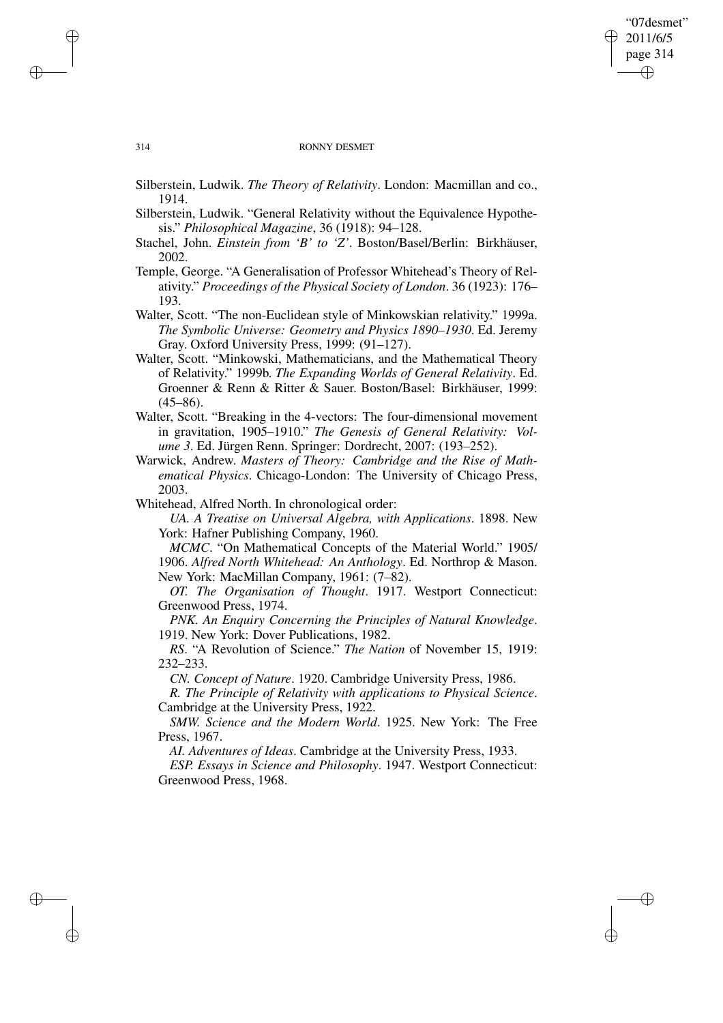### "07desmet" 2011/6/5 page 314 ✐ ✐

✐

✐

#### 314 RONNY DESMET

- Silberstein, Ludwik. *The Theory of Relativity*. London: Macmillan and co., 1914.
- Silberstein, Ludwik. "General Relativity without the Equivalence Hypothesis." *Philosophical Magazine*, 36 (1918): 94–128.
- Stachel, John. *Einstein from 'B' to 'Z'*. Boston/Basel/Berlin: Birkhäuser, 2002.
- Temple, George. "A Generalisation of Professor Whitehead's Theory of Relativity." *Proceedings of the Physical Society of London*. 36 (1923): 176– 193.
- Walter, Scott. "The non-Euclidean style of Minkowskian relativity." 1999a. *The Symbolic Universe: Geometry and Physics 1890–1930*. Ed. Jeremy Gray. Oxford University Press, 1999: (91–127).
- Walter, Scott. "Minkowski, Mathematicians, and the Mathematical Theory of Relativity." 1999b. *The Expanding Worlds of General Relativity*. Ed. Groenner & Renn & Ritter & Sauer. Boston/Basel: Birkhäuser, 1999:  $(45–86)$ .
- Walter, Scott. "Breaking in the 4-vectors: The four-dimensional movement in gravitation, 1905–1910." *The Genesis of General Relativity: Volume 3*. Ed. Jürgen Renn. Springer: Dordrecht, 2007: (193–252).
- Warwick, Andrew. *Masters of Theory: Cambridge and the Rise of Mathematical Physics*. Chicago-London: The University of Chicago Press, 2003.

Whitehead, Alfred North. In chronological order:

*UA. A Treatise on Universal Algebra, with Applications*. 1898. New York: Hafner Publishing Company, 1960.

*MCMC*. "On Mathematical Concepts of the Material World." 1905/ 1906. *Alfred North Whitehead: An Anthology*. Ed. Northrop & Mason. New York: MacMillan Company, 1961: (7–82).

*OT. The Organisation of Thought*. 1917. Westport Connecticut: Greenwood Press, 1974.

*PNK. An Enquiry Concerning the Principles of Natural Knowledge*. 1919. New York: Dover Publications, 1982.

*RS*. "A Revolution of Science." *The Nation* of November 15, 1919: 232–233.

*CN. Concept of Nature*. 1920. Cambridge University Press, 1986.

*R. The Principle of Relativity with applications to Physical Science*. Cambridge at the University Press, 1922.

*SMW. Science and the Modern World*. 1925. New York: The Free Press, 1967.

*AI. Adventures of Ideas*. Cambridge at the University Press, 1933.

*ESP. Essays in Science and Philosophy*. 1947. Westport Connecticut: Greenwood Press, 1968.

✐

✐

✐